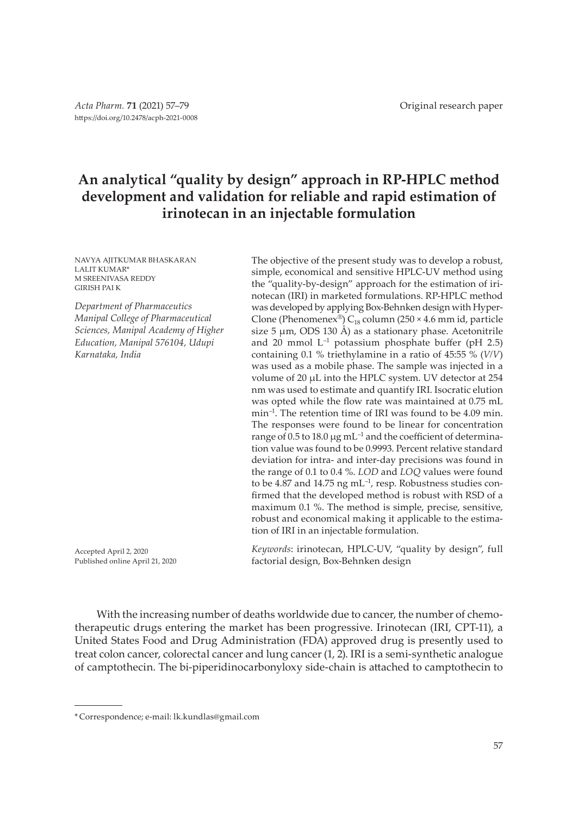# **An analytical "quality by design" approach in RP-HPLC method development and validation for reliable and rapid estimation of irinotecan in an injectable formulation**

NAVYA AJITKUMAR BHASKARAN LALIT KUMAR\* M SREENIVASA REDDY GIRISH PAI K

*Department of Pharmaceutics Manipal College of Pharmaceutical Sciences, Manipal Academy of Higher Education, Manipal 576104, Udupi Karnataka, India*

The objective of the present study was to develop a robust, simple, economical and sensitive HPLC-UV method using the "quality-by-design" approach for the estimation of irinotecan (IRI) in marketed formulations. RP-HPLC method was developed by applying Box-Behnken design with Hyper-Clone (Phenomenex®)  $C_{18}$  column (250 × 4.6 mm id, particle size 5  $\mu$ m, ODS 130 Å) as a stationary phase. Acetonitrile and 20 mmol  $L^{-1}$  potassium phosphate buffer (pH 2.5) containing 0.1 % triethylamine in a ratio of 45:55 % (*V/V*) was used as a mobile phase. The sample was injected in a volume of 20 µL into the HPLC system. UV detector at 254 nm was used to estimate and quantify IRI. Isocratic elution was opted while the flow rate was maintained at 0.75 mL min–1. The retention time of IRI was found to be 4.09 min. The responses were found to be linear for concentration range of 0.5 to 18.0  $\mu$ g mL<sup>-1</sup> and the coefficient of determination value was found to be 0.9993. Percent relative standard deviation for intra- and inter-day precisions was found in the range of 0.1 to 0.4 %. *LOD* and *LOQ* values were found to be 4.87 and 14.75 ng  $mL^{-1}$ , resp. Robustness studies confirmed that the developed method is robust with RSD of a maximum 0.1 %. The method is simple, precise, sensitive, robust and economical making it applicable to the estimation of IRI in an injectable formulation.

Accepted April 2, 2020 Published online April 21, 2020

*Keywords*: irinotecan, HPLC-UV, "quality by design", full factorial design, Box-Behnken design

With the increasing number of deaths worldwide due to cancer, the number of chemotherapeutic drugs entering the market has been progressive. Irinotecan (IRI, CPT-11), a United States Food and Drug Administration (FDA) approved drug is presently used to treat colon cancer, colorectal cancer and lung cancer (1, 2). IRI is a semi-synthetic analogue of camptothecin. The bi-piperidinocarbonyloxy side-chain is attached to camptothecin to

<sup>\*</sup> Correspondence; e-mail: lk.kundlas@gmail.com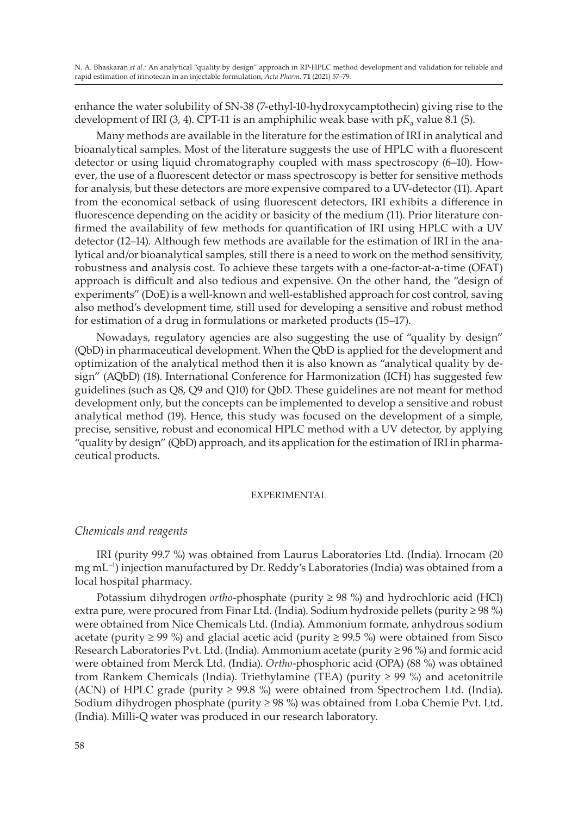enhance the water solubility of SN-38 (7-ethyl-10-hydroxycamptothecin) giving rise to the development of IRI  $(3, 4)$ . CPT-11 is an amphiphilic weak base with  $pK_a$  value 8.1  $(5)$ .

Many methods are available in the literature for the estimation of IRI in analytical and bioanalytical samples. Most of the literature suggests the use of HPLC with a fluorescent detector or using liquid chromatography coupled with mass spectroscopy (6–10). However, the use of a fluorescent detector or mass spectroscopy is better for sensitive methods for analysis, but these detectors are more expensive compared to a UV-detector (11). Apart from the economical setback of using fluorescent detectors, IRI exhibits a difference in fluorescence depending on the acidity or basicity of the medium (11). Prior literature confirmed the availability of few methods for quantification of IRI using HPLC with a UV detector (12–14). Although few methods are available for the estimation of IRI in the analytical and/or bioanalytical samples, still there is a need to work on the method sensitivity, robustness and analysis cost. To achieve these targets with a one-factor-at-a-time (OFAT) approach is difficult and also tedious and expensive. On the other hand, the "design of experiments" (DoE) is a well-known and well-established approach for cost control, saving also method's development time, still used for developing a sensitive and robust method for estimation of a drug in formulations or marketed products (15–17).

Nowadays, regulatory agencies are also suggesting the use of "quality by design" (QbD) in pharmaceutical development. When the QbD is applied for the development and optimization of the analytical method then it is also known as "analytical quality by design" (AQbD) (18). International Conference for Harmonization (ICH) has suggested few guidelines (such as Q8, Q9 and Q10) for QbD. These guidelines are not meant for method development only, but the concepts can be implemented to develop a sensitive and robust analytical method (19). Hence, this study was focused on the development of a simple, precise, sensitive, robust and economical HPLC method with a UV detector, by applying "quality by design" (QbD) approach, and its application for the estimation of IRI in pharmaceutical products.

### EXPERIMENTAL

### *Chemicals and reagents*

IRI (purity 99.7 %) was obtained from Laurus Laboratories Ltd. (India). Irnocam (20 mg  $mL^{-1}$ ) injection manufactured by Dr. Reddy's Laboratories (India) was obtained from a local hospital pharmacy.

Potassium dihydrogen *ortho*-phosphate (purity ≥ 98 %) and hydrochloric acid (HCl) extra pure, were procured from Finar Ltd. (India). Sodium hydroxide pellets (purity  $\geq$  98 %) were obtained from Nice Chemicals Ltd. (India). Ammonium formate, anhydrous sodium acetate (purity ≥ 99 %) and glacial acetic acid (purity ≥ 99.5 %) were obtained from Sisco Research Laboratories Pvt. Ltd. (India). Ammonium acetate (purity ≥ 96 %) and formic acid were obtained from Merck Ltd. (India). *Ortho*-phosphoric acid (OPA) (88 %) was obtained from Rankem Chemicals (India). Triethylamine (TEA) (purity  $\geq$  99 %) and acetonitrile (ACN) of HPLC grade (purity  $\geq$  99.8 %) were obtained from Spectrochem Ltd. (India). Sodium dihydrogen phosphate (purity  $\geq$  98 %) was obtained from Loba Chemie Pvt. Ltd. (India). Milli-Q water was produced in our research laboratory.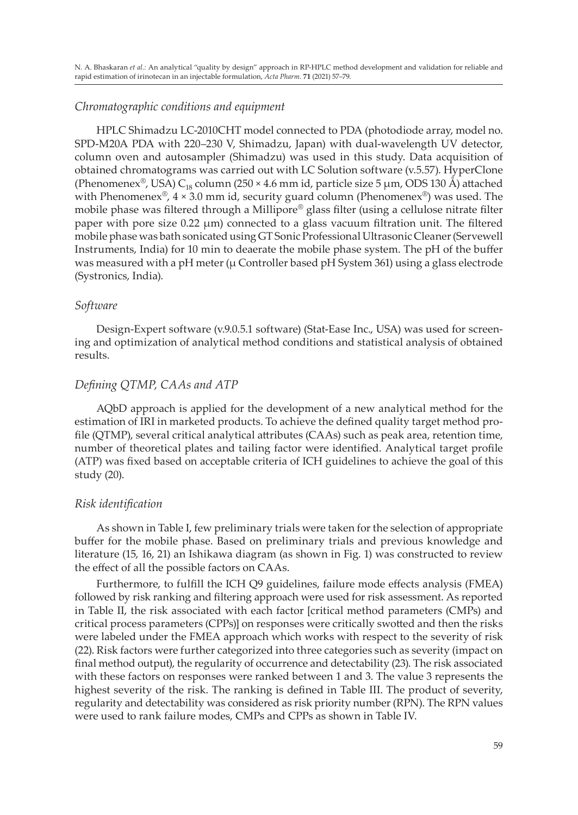## *Chromatographic conditions and equipment*

HPLC Shimadzu LC-2010CHT model connected to PDA (photodiode array, model no. SPD-M20A PDA with 220–230 V, Shimadzu, Japan) with dual-wavelength UV detector, column oven and autosampler (Shimadzu) was used in this study. Data acquisition of obtained chromatograms was carried out with LC Solution software (v.5.57). HyperClone (Phenomenex®, USA) C<sub>18</sub> column (250 × 4.6 mm id, particle size 5 µm, ODS 130 Å) attached with Phenomenex®,  $4 \times 3.0$  mm id, security guard column (Phenomenex®) was used. The mobile phase was filtered through a Millipore® glass filter (using a cellulose nitrate filter paper with pore size 0.22 µm) connected to a glass vacuum filtration unit. The filtered mobile phase was bath sonicated using GT Sonic Professional Ultrasonic Cleaner (Servewell Instruments, India) for 10 min to deaerate the mobile phase system. The pH of the buffer was measured with a pH meter (μ Controller based pH System 361) using a glass electrode (Systronics, India).

## *Software*

Design-Expert software (v.9.0.5.1 software) (Stat-Ease Inc., USA) was used for screening and optimization of analytical method conditions and statistical analysis of obtained results.

## *Defining QTMP, CAAs and ATP*

AQbD approach is applied for the development of a new analytical method for the estimation of IRI in marketed products. To achieve the defined quality target method profile (QTMP), several critical analytical attributes (CAAs) such as peak area, retention time, number of theoretical plates and tailing factor were identified. Analytical target profile (ATP) was fixed based on acceptable criteria of ICH guidelines to achieve the goal of this study (20).

### *Risk identification*

As shown in Table I, few preliminary trials were taken for the selection of appropriate buffer for the mobile phase. Based on preliminary trials and previous knowledge and literature (15, 16, 21) an Ishikawa diagram (as shown in Fig. 1) was constructed to review the effect of all the possible factors on CAAs.

Furthermore, to fulfill the ICH Q9 guidelines, failure mode effects analysis (FMEA) followed by risk ranking and filtering approach were used for risk assessment. As reported in Table II, the risk associated with each factor [critical method parameters (CMPs) and critical process parameters (CPPs)] on responses were critically swotted and then the risks were labeled under the FMEA approach which works with respect to the severity of risk (22). Risk factors were further categorized into three categories such as severity (impact on final method output), the regularity of occurrence and detectability (23). The risk associated with these factors on responses were ranked between 1 and 3. The value 3 represents the highest severity of the risk. The ranking is defined in Table III. The product of severity, regularity and detectability was considered as risk priority number (RPN). The RPN values were used to rank failure modes, CMPs and CPPs as shown in Table IV.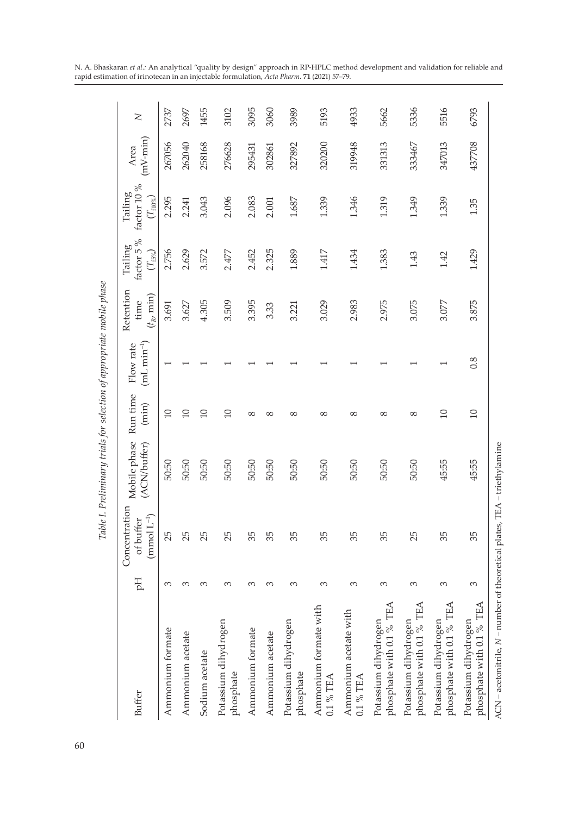|                                                                           |        |                                                        | Table I. Preliminary trials for selection of appropriate mobile phase |                   |                           |                                           |                                      |                                            |                        |      |
|---------------------------------------------------------------------------|--------|--------------------------------------------------------|-----------------------------------------------------------------------|-------------------|---------------------------|-------------------------------------------|--------------------------------------|--------------------------------------------|------------------------|------|
| Buffer                                                                    | Hq     | Concentration<br>$(\text{mmol}\; L^{-1})$<br>of buffer | Mobile phase<br>(ACN/buffer)                                          | Run time<br>(min) | $(mL min-1)$<br>Flow rate | Retention<br>$(t_{R^\prime}$ min)<br>time | factor 5%<br>Tailing<br>$(T_{t5\%})$ | factor 10 %<br>Tailing<br>$(T_{\rm flow})$ | $(mV$ - $min)$<br>Area | Z    |
| Ammonium formate                                                          | $\sim$ | 25                                                     | 50:50                                                                 | $\Xi$             |                           | 3.691                                     | 2.756                                | 2.295                                      | 267056                 | 2737 |
| Ammonium acetate                                                          | 3      | 25                                                     | 50:50                                                                 | $\Xi$             |                           | 3.627                                     | 2.629                                | 2.241                                      | 262040                 | 2697 |
| Sodium acetate                                                            | 3      | 25                                                     | 50:50                                                                 | $\Box$            |                           | 4.305                                     | 3.572                                | 3.043                                      | 258168                 | 1455 |
| Potassium dihydrogen<br>phosphate                                         | $\sim$ | 25                                                     | 50:50                                                                 | $\Xi$             |                           | 3.509                                     | 2.477                                | 2.096                                      | 276628                 | 3102 |
| Ammonium formate                                                          | $\sim$ | 35                                                     | 50:50                                                                 | $^{\circ}$        |                           | 3.395                                     | 2.452                                | 2.083                                      | 295431                 | 3095 |
| Ammonium acetate                                                          | $\sim$ | 35                                                     | 50:50                                                                 | $\infty$          |                           | 3.33                                      | 2.325                                | 2.001                                      | 302861                 | 3060 |
| Potassium dihydrogen<br>phosphate                                         | 3      | 35                                                     | 50:50                                                                 | $\infty$          |                           | 3.221                                     | 1.889                                | 1.687                                      | 327892                 | 3989 |
| Ammonium formate with<br>0.1 % TEA                                        | 3      | 35                                                     | 50:50                                                                 | $\infty$          |                           | 3.029                                     | 1.417                                | 1.339                                      | 320200                 | 5193 |
| Ammonium acetate with<br>0.1 % TEA                                        | 3      | 35                                                     | 50:50                                                                 | $^{\circ}$        |                           | 2.983                                     | 1.434                                | 1.346                                      | 319948                 | 4933 |
| phosphate with 0.1 % TEA<br>Potassium dihydrogen                          | 3      | 35                                                     | 50:50                                                                 | 8                 |                           | 2.975                                     | 1.383                                | 1.319                                      | 331313                 | 5662 |
| phosphate with 0.1 % TEA<br>Potassium dihydrogen                          | 3      | 25                                                     | 50:50                                                                 | $\infty$          |                           | 3.075                                     | 1.43                                 | 1.349                                      | 333467                 | 5336 |
| phosphate with 0.1 % TEA<br>Potassium dihydrogen                          | 3      | 35                                                     | 45:55                                                                 | $\Box$            |                           | 3.077                                     | 1.42                                 | 1.339                                      | 347013                 | 5516 |
| phosphate with 0.1 % TEA<br>Potassium dihydrogen                          | 3      | 35                                                     | 45:55                                                                 | $\Box$            | 0.8                       | 3.875                                     | 1.429                                | 1.35                                       | 437708                 | 6793 |
| ACN - acetonitrile, N - number of theoretical plates, TEA - triethylamine |        |                                                        |                                                                       |                   |                           |                                           |                                      |                                            |                        |      |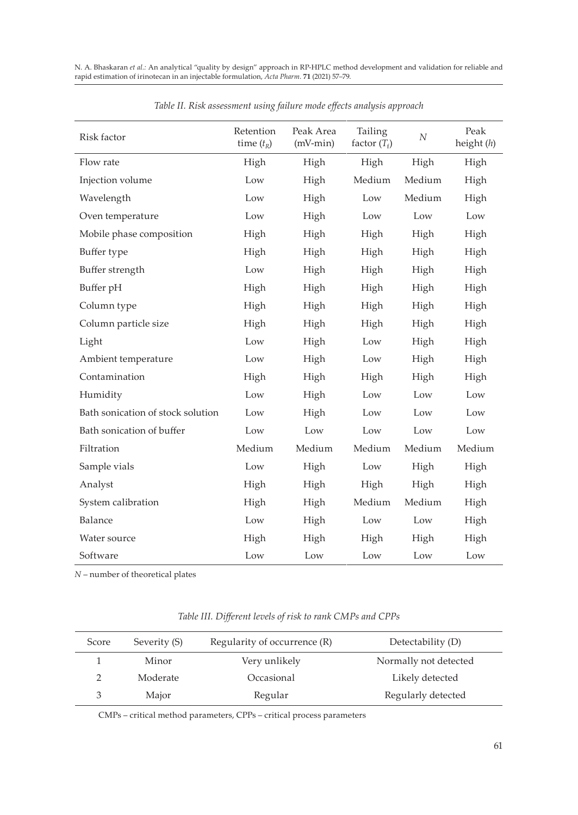| Risk factor                       | Retention<br>time $(t_R)$ | Peak Area<br>$(mV-min)$ | Tailing<br>factor $(T_{\epsilon})$ | $\boldsymbol{N}$ | Peak<br>height $(h)$ |
|-----------------------------------|---------------------------|-------------------------|------------------------------------|------------------|----------------------|
| Flow rate                         | High                      | High                    | High                               | High             | High                 |
| Injection volume                  | Low                       | High                    | Medium                             | Medium           | High                 |
| Wavelength                        | Low                       | High                    | Low                                | Medium           | High                 |
| Oven temperature                  | Low                       | High                    | Low                                | Low              | Low                  |
| Mobile phase composition          | High                      | High                    | High                               | High             | High                 |
| Buffer type                       | High                      | High                    | High                               | High             | High                 |
| Buffer strength                   | Low                       | High                    | High                               | High             | High                 |
| Buffer pH                         | High                      | High                    | High                               | High             | High                 |
| Column type                       | High                      | High                    | High                               | High             | High                 |
| Column particle size              | High                      | High                    | High                               | High             | High                 |
| Light                             | Low                       | High                    | Low                                | High             | High                 |
| Ambient temperature               | Low                       | High                    | Low                                | High             | High                 |
| Contamination                     | High                      | High                    | High                               | High             | High                 |
| Humidity                          | Low                       | High                    | Low                                | Low              | Low                  |
| Bath sonication of stock solution | Low                       | High                    | Low                                | Low              | Low                  |
| Bath sonication of buffer         | Low                       | Low                     | Low                                | Low              | Low                  |
| Filtration                        | Medium                    | Medium                  | Medium                             | Medium           | Medium               |
| Sample vials                      | Low                       | High                    | Low                                | High             | High                 |
| Analyst                           | High                      | High                    | High                               | High             | High                 |
| System calibration                | High                      | High                    | Medium                             | Medium           | High                 |
| Balance                           | Low                       | High                    | Low                                | Low              | High                 |
| Water source                      | High                      | High                    | High                               | High             | High                 |
| Software                          | Low                       | Low                     | Low                                | Low              | Low                  |

*Table II. Risk assessment using failure mode effects analysis approach*

*N* – number of theoretical plates

| Score | Severity (S) | Regularity of occurrence (R) | Detectability (D)     |
|-------|--------------|------------------------------|-----------------------|
|       | Minor        | Very unlikely                | Normally not detected |
|       | Moderate     | Occasional                   | Likely detected       |
| 3     | Major        | Regular                      | Regularly detected    |

CMPs – critical method parameters, CPPs – critical process parameters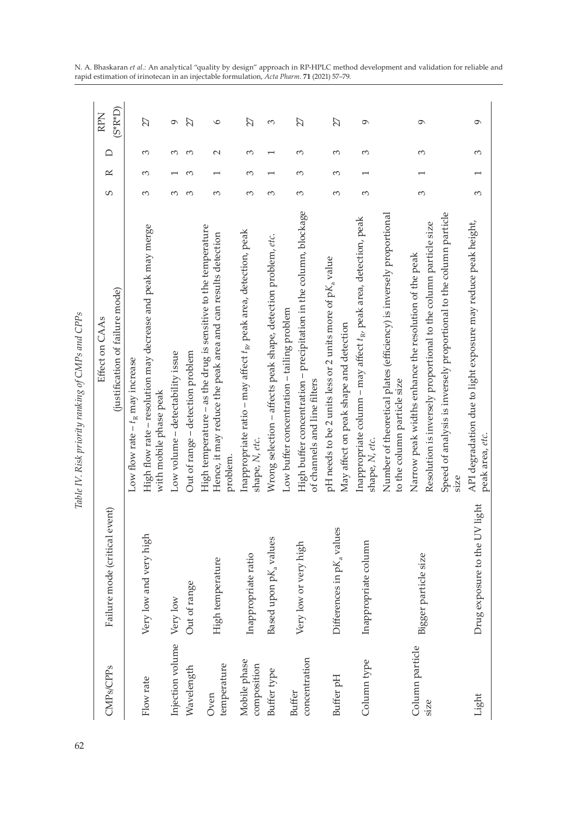| CMP <sub>s</sub> /CPP <sub>s</sub> | Failure mode (critical event) | Effect on CAAs                                                                                                                             | S        | $\scriptstyle{\mathtt{m}}$ | ≏      | <b>RPN</b> |
|------------------------------------|-------------------------------|--------------------------------------------------------------------------------------------------------------------------------------------|----------|----------------------------|--------|------------|
|                                    |                               | (justification of failure mode)                                                                                                            |          |                            |        | (S*R*D)    |
|                                    |                               | Low flow rate $-t_R$ may increase                                                                                                          |          |                            |        |            |
| Flow rate                          | Very low and very high        | High flow rate - resolution may decrease and peak may merge<br>with mobile phase peak                                                      | 3        | 3                          | 3      | 27         |
| Injection volume Very low          |                               | Low volume - detectability issue                                                                                                           | 3        |                            | 3      | $\sigma$   |
| Wavelength                         | Out of range                  | Out of range - detection problem                                                                                                           | 3        |                            | 3      | 27         |
| temperature<br>Oven                | High temperature              | High temperature - as the drug is sensitive to the temperature<br>Hence, it may reduce the peak area and can results detection<br>problem. | 3        |                            | $\sim$ | $\circ$    |
| Mobile phase<br>composition        | Inappropriate ratio           | Inappropriate ratio - may affect t <sub>Rv</sub> peak area, detection, peak<br>shape, N, etc.                                              | 3        | 3                          | 3      | 27         |
| Buffer type                        | Based upon pKa values         | Wrong selection - affects peak shape, detection problem, etc.                                                                              | 3        |                            |        | 3          |
| Buffer                             |                               | Low buffer concentration – tailing problem                                                                                                 |          |                            |        |            |
| concentration                      | Very low or very high         | High buffer concentration - precipitation in the column, blockage<br>of channels and line filters                                          | 3        | 3                          | 3      | 27         |
| Buffer pH                          | Differences in pKa values     | pH needs to be 2 units less or 2 units more of pK <sub>a</sub> value                                                                       | 3        | 3                          | 3      | 27         |
|                                    |                               | May affect on peak shape and detection                                                                                                     |          |                            |        |            |
| Column type                        | Inappropriate column          | Inappropriate column - may affect t <sub>Ry</sub> peak area, detection, peak<br>shape, N, etc.                                             | $\infty$ |                            | 3      | $\sigma$   |
|                                    |                               | Number of theoretical plates (efficiency) is inversely proportional<br>to the column particle size                                         |          |                            |        |            |
| Column particle                    |                               | Narrow peak widths enhance the resolution of the peak                                                                                      | $\infty$ |                            | 3      | $\sigma$   |
| size                               | Bigger particle size          | Resolution is inversely proportional to the column particle size                                                                           |          |                            |        |            |
|                                    |                               | Speed of analysis is inversely proportional to the column particle<br>size                                                                 |          |                            |        |            |
| Light                              | Drug exposure to the UV light | API degradation due to light exposure may reduce peak height,<br>peak area, etc.                                                           | 3        |                            | 3      | $\sigma$   |
|                                    |                               |                                                                                                                                            |          |                            |        |            |

Table IV. Risk priority ranking of CMPs and CPPs *Table IV. Risk priority ranking of CMPs and CPPs*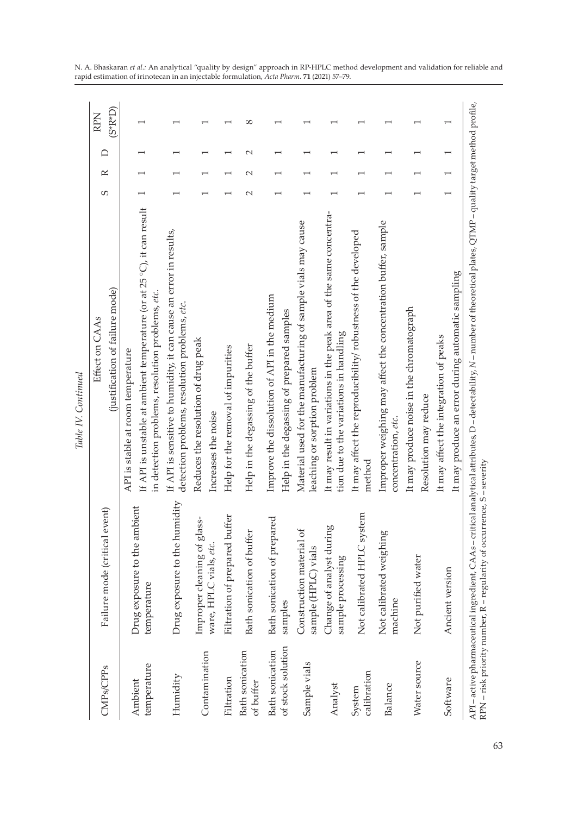| temperature<br>temperature<br>CMP <sub>s</sub> /CPP <sub>s</sub><br>Ambient | Failure mode (critical event)                   | Effect on CAAs                                                                                                             |   |           |        |             |
|-----------------------------------------------------------------------------|-------------------------------------------------|----------------------------------------------------------------------------------------------------------------------------|---|-----------|--------|-------------|
|                                                                             |                                                 |                                                                                                                            | S | $\approx$ | ≏      | <b>RPN</b>  |
|                                                                             |                                                 | (justification of failure mode)                                                                                            |   |           |        | $(S^*R^*D)$ |
|                                                                             |                                                 | API is stable at room temperature                                                                                          |   |           |        |             |
|                                                                             | Drug exposure to the ambient                    | If API is unstable at ambient temperature (or at 25 °C), it can result<br>in detection problems, resolution problems, etc. |   |           |        |             |
| Humidity                                                                    | Drug exposure to the humidity                   | If API is sensitive to humidity, it can cause an error in results,<br>detection problems, resolution problems, etc.        |   |           |        |             |
| Contamination                                                               | Improper cleaning of glass-                     | Reduces the resolution of drug peak                                                                                        |   |           |        |             |
|                                                                             | ware, HPLC vials, etc.                          | Increases the noise                                                                                                        |   |           |        |             |
| Filtration                                                                  | Filtration of prepared buffer                   | Help for the removal of impurities                                                                                         |   |           |        |             |
| <b>Bath</b> sonication<br>of buffer                                         | Bath sonication of buffer                       | Help in the degassing of the buffer                                                                                        |   | $\sim$    | $\sim$ | $\infty$    |
| <b>Bath</b> sonication                                                      | Bath sonication of prepared                     | Improve the dissolution of API in the medium                                                                               |   |           |        |             |
| samples<br>of stock solution                                                |                                                 | Help in the degassing of prepared samples                                                                                  |   |           |        |             |
| Sample vials                                                                | Construction material of<br>sample (HPLC) vials | Material used for the manufacturing of sample vials may cause<br>leaching or sorption problem                              |   |           |        |             |
| sample processing<br>Analyst                                                | Change of analyst during                        | It may result in variations in the peak area of the same concentra-<br>tion due to the variations in handling              |   |           |        |             |
| calibration<br>System                                                       | Not calibrated HPLC system                      | It may affect the reproducibility/ robustness of the developed<br>method                                                   |   |           |        |             |
| machine<br>Balance                                                          | Not calibrated weighing                         | Improper weighing may affect the concentration buffer, sample<br>concentration, etc.                                       |   |           |        |             |
| Not purified water<br>Water source                                          |                                                 | It may produce noise in the chromatograph<br>Resolution may reduce                                                         |   |           |        |             |
| Ancient version<br>Software                                                 |                                                 | It may affect the integration of peaks                                                                                     |   |           |        |             |
|                                                                             |                                                 | It may produce an error during automatic sampling                                                                          |   |           |        |             |

Table IV. Continued *Table IV. Continued*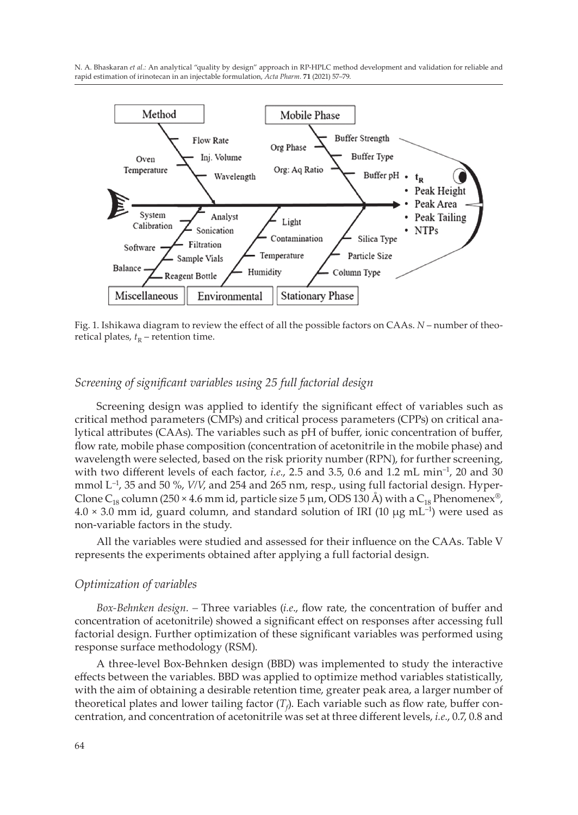

Fig. 1. Ishikawa diagram to review the effect of all the possible factors on CAAs. *N* – number of theoretical plates,  $t<sub>R</sub>$  – retention time.

## *Screening of significant variables using 25 full factorial design*

Screening design was applied to identify the significant effect of variables such as critical method parameters (CMPs) and critical process parameters (CPPs) on critical analytical attributes (CAAs). The variables such as pH of buffer, ionic concentration of buffer, flow rate, mobile phase composition (concentration of acetonitrile in the mobile phase) and wavelength were selected, based on the risk priority number (RPN), for further screening, with two different levels of each factor, *i.e.*, 2.5 and 3.5, 0.6 and 1.2 mL min<sup>-1</sup>, 20 and 30 mmol L–1, 35 and 50 %, *V/V*, and 254 and 265 nm, resp., using full factorial design. Hyper-Clone C<sub>18</sub> column (250 × 4.6 mm id, particle size 5 µm, ODS 130 Å) with a C<sub>18</sub> Phenomenex<sup>®</sup>,  $4.0 \times 3.0$  mm id, guard column, and standard solution of IRI (10  $\mu$ g mL<sup>-1</sup>) were used as non-variable factors in the study.

All the variables were studied and assessed for their influence on the CAAs. Table V represents the experiments obtained after applying a full factorial design.

#### *Optimization of variables*

*Box-Behnken design. –* Three variables (*i.e*., flow rate, the concentration of buffer and concentration of acetonitrile) showed a significant effect on responses after accessing full factorial design. Further optimization of these significant variables was performed using response surface methodology (RSM).

A three-level Box-Behnken design (BBD) was implemented to study the interactive effects between the variables. BBD was applied to optimize method variables statistically, with the aim of obtaining a desirable retention time, greater peak area, a larger number of theoretical plates and lower tailing factor  $(T_\beta)$ . Each variable such as flow rate, buffer concentration, and concentration of acetonitrile was set at three different levels, *i.e.*, 0.7, 0.8 and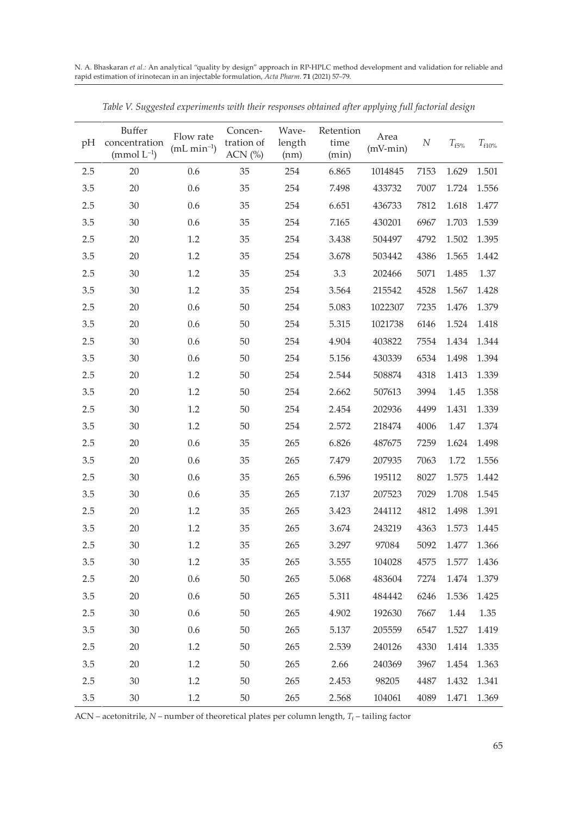| pH  | Buffer<br>concentration<br>(mmol $L^{-1}$ ) | Flow rate<br>$(mL min-1)$ | Concen-<br>tration of<br>ACN $(%)$ | Wave-<br>length<br>(nm) | Retention<br>time<br>(min) | Area<br>$(mV-min)$ | N    | $T_{f5\%}$ | $T_{f10\%}$ |
|-----|---------------------------------------------|---------------------------|------------------------------------|-------------------------|----------------------------|--------------------|------|------------|-------------|
| 2.5 | 20                                          | 0.6                       | 35                                 | 254                     | 6.865                      | 1014845            | 7153 | 1.629      | 1.501       |
| 3.5 | 20                                          | 0.6                       | 35                                 | 254                     | 7.498                      | 433732             | 7007 | 1.724      | 1.556       |
| 2.5 | 30                                          | 0.6                       | 35                                 | 254                     | 6.651                      | 436733             | 7812 | 1.618      | 1.477       |
| 3.5 | 30                                          | 0.6                       | 35                                 | 254                     | 7.165                      | 430201             | 6967 | 1.703      | 1.539       |
| 2.5 | 20                                          | 1.2                       | 35                                 | 254                     | 3.438                      | 504497             | 4792 | 1.502      | 1.395       |
| 3.5 | 20                                          | 1.2                       | 35                                 | 254                     | 3.678                      | 503442             | 4386 | 1.565      | 1.442       |
| 2.5 | 30                                          | 1.2                       | 35                                 | 254                     | 3.3                        | 202466             | 5071 | 1.485      | 1.37        |
| 3.5 | 30                                          | 1.2                       | 35                                 | 254                     | 3.564                      | 215542             | 4528 | 1.567      | 1.428       |
| 2.5 | 20                                          | 0.6                       | 50                                 | 254                     | 5.083                      | 1022307            | 7235 | 1.476      | 1.379       |
| 3.5 | 20                                          | 0.6                       | 50                                 | 254                     | 5.315                      | 1021738            | 6146 | 1.524      | 1.418       |
| 2.5 | 30                                          | 0.6                       | 50                                 | 254                     | 4.904                      | 403822             | 7554 | 1.434      | 1.344       |
| 3.5 | 30                                          | 0.6                       | 50                                 | 254                     | 5.156                      | 430339             | 6534 | 1.498      | 1.394       |
| 2.5 | 20                                          | 1.2                       | 50                                 | 254                     | 2.544                      | 508874             | 4318 | 1.413      | 1.339       |
| 3.5 | 20                                          | 1.2                       | 50                                 | 254                     | 2.662                      | 507613             | 3994 | 1.45       | 1.358       |
| 2.5 | 30                                          | 1.2                       | 50                                 | 254                     | 2.454                      | 202936             | 4499 | 1.431      | 1.339       |
| 3.5 | 30                                          | 1.2                       | 50                                 | 254                     | 2.572                      | 218474             | 4006 | 1.47       | 1.374       |
| 2.5 | 20                                          | 0.6                       | 35                                 | 265                     | 6.826                      | 487675             | 7259 | 1.624      | 1.498       |
| 3.5 | 20                                          | 0.6                       | 35                                 | 265                     | 7.479                      | 207935             | 7063 | 1.72       | 1.556       |
| 2.5 | 30                                          | 0.6                       | 35                                 | 265                     | 6.596                      | 195112             | 8027 | 1.575      | 1.442       |
| 3.5 | 30                                          | 0.6                       | 35                                 | 265                     | 7.137                      | 207523             | 7029 | 1.708      | 1.545       |
| 2.5 | 20                                          | 1.2                       | 35                                 | 265                     | 3.423                      | 244112             | 4812 | 1.498      | 1.391       |
| 3.5 | 20                                          | 1.2                       | 35                                 | 265                     | 3.674                      | 243219             | 4363 | 1.573      | 1.445       |
| 2.5 | 30                                          | 1.2                       | 35                                 | 265                     | 3.297                      | 97084              | 5092 | 1.477      | 1.366       |
| 3.5 | 30                                          | 1.2                       | 35                                 | 265                     | 3.555                      | 104028             | 4575 | 1.577      | 1.436       |
| 2.5 | 20                                          | 0.6                       | 50                                 | 265                     | 5.068                      | 483604             | 7274 | 1.474      | 1.379       |
| 3.5 | 20                                          | 0.6                       | 50                                 | 265                     | 5.311                      | 484442             | 6246 | 1.536      | 1.425       |
| 2.5 | 30                                          | 0.6                       | 50                                 | 265                     | 4.902                      | 192630             | 7667 | 1.44       | 1.35        |
| 3.5 | 30                                          | 0.6                       | 50                                 | 265                     | 5.137                      | 205559             | 6547 | 1.527      | 1.419       |
| 2.5 | 20                                          | 1.2                       | 50                                 | 265                     | 2.539                      | 240126             | 4330 | 1.414      | 1.335       |
| 3.5 | 20                                          | 1.2                       | 50                                 | 265                     | 2.66                       | 240369             | 3967 | 1.454      | 1.363       |
| 2.5 | 30                                          | 1.2                       | 50                                 | 265                     | 2.453                      | 98205              | 4487 | 1.432      | 1.341       |
| 3.5 | 30                                          | 1.2                       | 50                                 | 265                     | 2.568                      | 104061             | 4089 | 1.471      | 1.369       |

*Table V. Suggested experiments with their responses obtained after applying full factorial design*

 $ACN$  – acetonitrile,  $N$  – number of theoretical plates per column length,  $T_f$  – tailing factor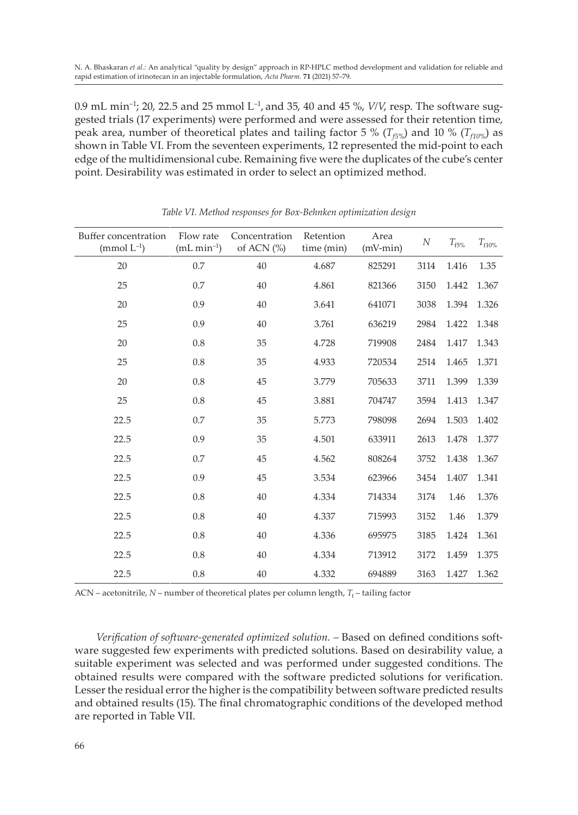0.9 mL min–1; 20, 22.5 and 25 mmol L–1, and 35, 40 and 45 %, *V/V*, resp. The software suggested trials (17 experiments) were performed and were assessed for their retention time, peak area, number of theoretical plates and tailing factor 5 % ( $T_{f5\%}$ ) and 10 % ( $T_{f10\%}$ ) as shown in Table VI. From the seventeen experiments, 12 represented the mid-point to each edge of the multidimensional cube. Remaining five were the duplicates of the cube's center point. Desirability was estimated in order to select an optimized method.

| Buffer concentration<br>(mmol $L^{-1}$ ) | Flow rate<br>$(mL min-1)$ | Concentration<br>of ACN $(%)$ | Retention<br>time (min) | Area<br>$(mV-min)$ | $\boldsymbol{N}$ | $T_{\rm f5\%}$ | $T_{f10\%}$ |
|------------------------------------------|---------------------------|-------------------------------|-------------------------|--------------------|------------------|----------------|-------------|
| 20                                       | 0.7                       | 40                            | 4.687                   | 825291             | 3114             | 1.416          | 1.35        |
| 25                                       | 0.7                       | 40                            | 4.861                   | 821366             | 3150             | 1.442          | 1.367       |
| 20                                       | 0.9                       | 40                            | 3.641                   | 641071             | 3038             | 1.394          | 1.326       |
| 25                                       | 0.9                       | 40                            | 3.761                   | 636219             | 2984             | 1.422          | 1.348       |
| 20                                       | 0.8                       | 35                            | 4.728                   | 719908             | 2484             | 1.417          | 1.343       |
| 25                                       | 0.8                       | 35                            | 4.933                   | 720534             | 2514             | 1.465          | 1.371       |
| 20                                       | 0.8                       | 45                            | 3.779                   | 705633             | 3711             | 1.399          | 1.339       |
| 25                                       | 0.8                       | 45                            | 3.881                   | 704747             | 3594             | 1.413          | 1.347       |
| 22.5                                     | 0.7                       | 35                            | 5.773                   | 798098             | 2694             | 1.503          | 1.402       |
| 22.5                                     | 0.9                       | 35                            | 4.501                   | 633911             | 2613             | 1.478          | 1.377       |
| 22.5                                     | 0.7                       | 45                            | 4.562                   | 808264             | 3752             | 1.438          | 1.367       |
| 22.5                                     | 0.9                       | 45                            | 3.534                   | 623966             | 3454             | 1.407          | 1.341       |
| 22.5                                     | 0.8                       | 40                            | 4.334                   | 714334             | 3174             | 1.46           | 1.376       |
| 22.5                                     | 0.8                       | 40                            | 4.337                   | 715993             | 3152             | 1.46           | 1.379       |
| 22.5                                     | 0.8                       | 40                            | 4.336                   | 695975             | 3185             | 1.424          | 1.361       |
| 22.5                                     | 0.8                       | 40                            | 4.334                   | 713912             | 3172             | 1.459          | 1.375       |
| 22.5                                     | 0.8                       | 40                            | 4.332                   | 694889             | 3163             | 1.427          | 1.362       |

#### *Table VI. Method responses for Box-Behnken optimization design*

 $ACN$  – acetonitrile,  $N$  – number of theoretical plates per column length,  $T_f$  – tailing factor

Verification of software-generated optimized solution. - Based on defined conditions software suggested few experiments with predicted solutions. Based on desirability value, a suitable experiment was selected and was performed under suggested conditions. The obtained results were compared with the software predicted solutions for verification. Lesser the residual error the higher is the compatibility between software predicted results and obtained results (15). The final chromatographic conditions of the developed method are reported in Table VII.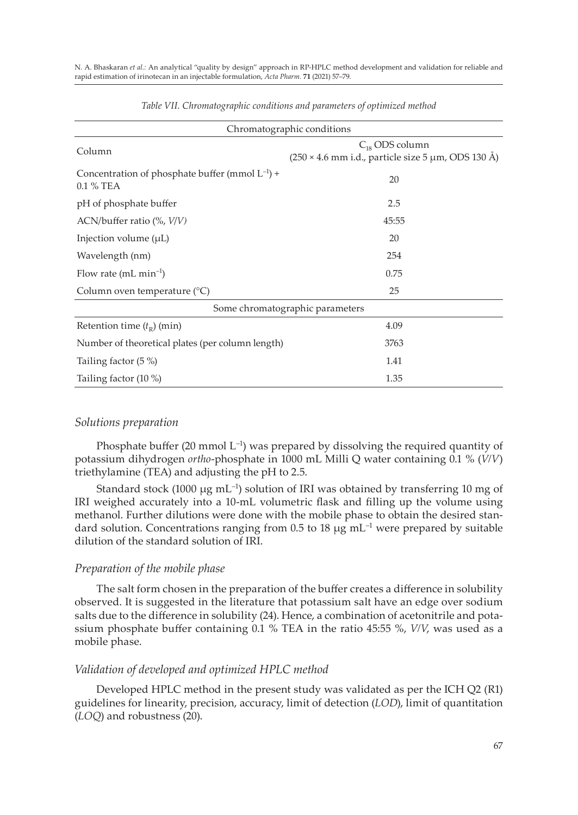|                                                                   | Chromatographic conditions                                                       |
|-------------------------------------------------------------------|----------------------------------------------------------------------------------|
| Column                                                            | $C_{18}$ ODS column<br>$(250 \times 4.6$ mm i.d., particle size 5 µm, ODS 130 Å) |
| Concentration of phosphate buffer (mmol $L^{-1}$ ) +<br>0.1 % TEA | 20                                                                               |
| pH of phosphate buffer                                            | 2.5                                                                              |
| ACN/buffer ratio $(\%$ , $V/V)$                                   | 45:55                                                                            |
| Injection volume $(\mu L)$                                        | 20                                                                               |
| Wavelength (nm)                                                   | 254                                                                              |
| Flow rate (mL $min^{-1}$ )                                        | 0.75                                                                             |
| Column oven temperature (°C)                                      | 25                                                                               |
|                                                                   | Some chromatographic parameters                                                  |
| Retention time $(t_R)$ (min)                                      | 4.09                                                                             |
| Number of theoretical plates (per column length)                  | 3763                                                                             |
| Tailing factor (5 %)                                              | 1.41                                                                             |
| Tailing factor (10 %)                                             | 1.35                                                                             |

*Table VII. Chromatographic conditions and parameters of optimized method*

## *Solutions preparation*

Phosphate buffer (20 mmol  $L^{-1}$ ) was prepared by dissolving the required quantity of potassium dihydrogen *ortho*-phosphate in 1000 mL Milli Q water containing 0.1 % (*V/V*) triethylamine (TEA) and adjusting the pH to 2.5.

Standard stock (1000  $\mu$ g mL<sup>-1</sup>) solution of IRI was obtained by transferring 10 mg of IRI weighed accurately into a 10-mL volumetric flask and filling up the volume using methanol. Further dilutions were done with the mobile phase to obtain the desired standard solution. Concentrations ranging from 0.5 to 18  $\mu$ g mL<sup>-1</sup> were prepared by suitable dilution of the standard solution of IRI.

## *Preparation of the mobile phase*

The salt form chosen in the preparation of the buffer creates a difference in solubility observed. It is suggested in the literature that potassium salt have an edge over sodium salts due to the difference in solubility (24). Hence, a combination of acetonitrile and potassium phosphate buffer containing 0.1 % TEA in the ratio 45:55 %, *V/V*, was used as a mobile phase.

## *Validation of developed and optimized HPLC method*

Developed HPLC method in the present study was validated as per the ICH Q2 (R1) guidelines for linearity, precision, accuracy, limit of detection (*LOD*), limit of quantitation (*LOQ*) and robustness (20).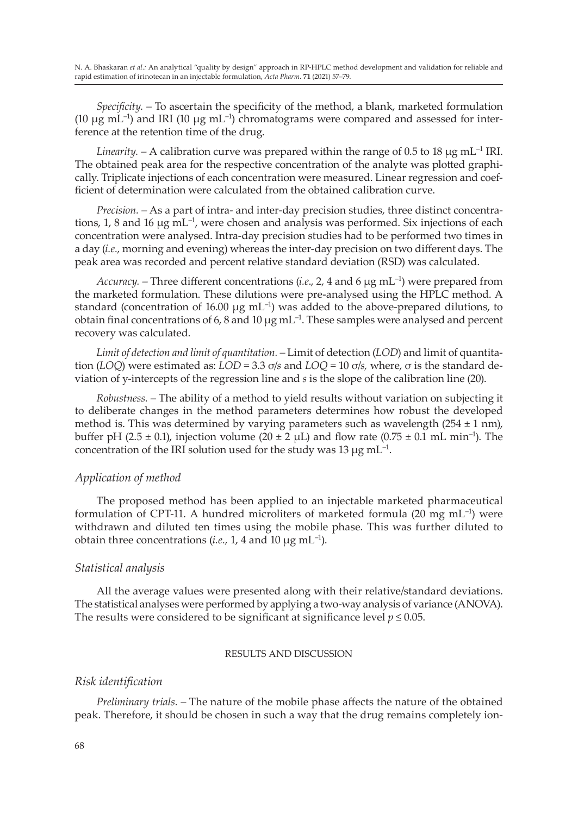*Specificity. –* To ascertain the specificity of the method, a blank, marketed formulation (10  $\mu$ g mL<sup>-1</sup>) and IRI (10  $\mu$ g mL<sup>-1</sup>) chromatograms were compared and assessed for interference at the retention time of the drug.

*Linearity.* – A calibration curve was prepared within the range of 0.5 to 18  $\mu$ g mL<sup>-1</sup> IRI. The obtained peak area for the respective concentration of the analyte was plotted graphically. Triplicate injections of each concentration were measured. Linear regression and coefficient of determination were calculated from the obtained calibration curve.

*Precision. –* As a part of intra- and inter-day precision studies, three distinct concentrations, 1, 8 and 16 µg mL–1, were chosen and analysis was performed. Six injections of each concentration were analysed. Intra-day precision studies had to be performed two times in a day (*i.e.,* morning and evening) whereas the inter-day precision on two different days. The peak area was recorded and percent relative standard deviation (RSD) was calculated.

*Accuracy.* – Three different concentrations (*i.e.*, 2, 4 and 6  $\mu$ g mL<sup>-1</sup>) were prepared from the marketed formulation. These dilutions were pre-analysed using the HPLC method. A standard (concentration of 16.00  $\mu$ g mL<sup>-1</sup>) was added to the above-prepared dilutions, to obtain final concentrations of 6, 8 and 10  $\mu$ g mL<sup>-1</sup>. These samples were analysed and percent recovery was calculated.

*Limit of detection and limit of quantitation.* – *Limit of detection (LOD)* and limit of quantitation (*LOQ*) were estimated as: *LOD* = 3.3 σ/*s* and *LOQ* = 10 σ/*s,* where, σ is the standard deviation of y-intercepts of the regression line and *s* is the slope of the calibration line (20).

*Robustness. –* The ability of a method to yield results without variation on subjecting it to deliberate changes in the method parameters determines how robust the developed method is. This was determined by varying parameters such as wavelength  $(254 \pm 1 \text{ nm})$ , buffer pH (2.5  $\pm$  0.1), injection volume (20  $\pm$  2  $\mu$ L) and flow rate (0.75  $\pm$  0.1 mL min<sup>-1</sup>). The concentration of the IRI solution used for the study was 13  $\mu$ g mL<sup>-1</sup>.

## *Application of method*

The proposed method has been applied to an injectable marketed pharmaceutical formulation of CPT-11. A hundred microliters of marketed formula  $(20 \text{ mg } \text{mL}^{-1})$  were withdrawn and diluted ten times using the mobile phase. This was further diluted to obtain three concentrations  $(i.e., 1, 4 \text{ and } 10 \mu g \text{ mL}^{-1})$ .

## *Statistical analysis*

All the average values were presented along with their relative/standard deviations. The statistical analyses were performed by applying a two-way analysis of variance (ANOVA). The results were considered to be significant at significance level  $p \le 0.05$ .

## RESULTS AND DISCUSSION

## *Risk identification*

*Preliminary trials. –* The nature of the mobile phase affects the nature of the obtained peak. Therefore, it should be chosen in such a way that the drug remains completely ion-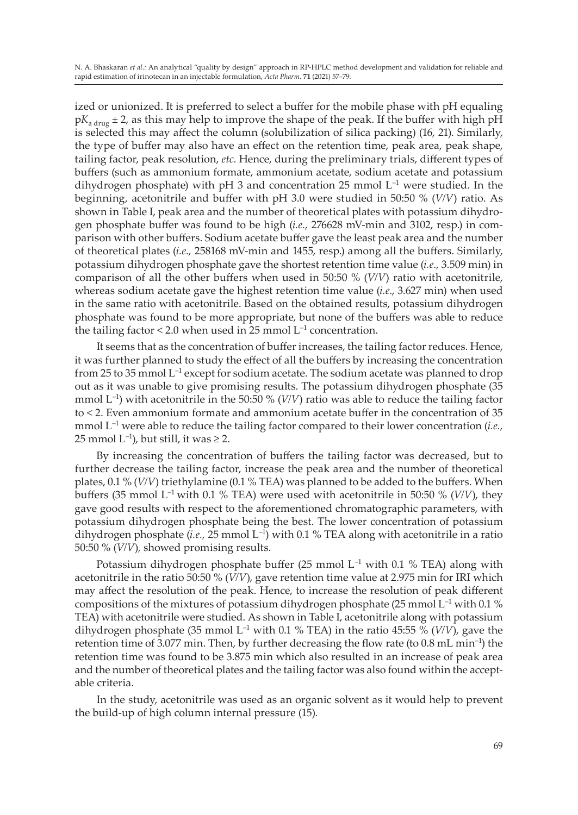ized or unionized. It is preferred to select a buffer for the mobile phase with pH equaling  $pK_{\text{after}}$   $\pm$  2, as this may help to improve the shape of the peak. If the buffer with high pH is selected this may affect the column (solubilization of silica packing) (16, 21). Similarly, the type of buffer may also have an effect on the retention time, peak area, peak shape, tailing factor, peak resolution, *etc*. Hence, during the preliminary trials, different types of buffers (such as ammonium formate, ammonium acetate, sodium acetate and potassium dihydrogen phosphate) with pH 3 and concentration 25 mmol  $L^{-1}$  were studied. In the beginning, acetonitrile and buffer with pH 3.0 were studied in 50:50 % (*V/V*) ratio. As shown in Table I, peak area and the number of theoretical plates with potassium dihydrogen phosphate buffer was found to be high (*i.e.,* 276628 mV-min and 3102, resp.) in comparison with other buffers. Sodium acetate buffer gave the least peak area and the number of theoretical plates (*i.e.,* 258168 mV-min and 1455, resp.) among all the buffers. Similarly, potassium dihydrogen phosphate gave the shortest retention time value (*i.e.,* 3.509 min) in comparison of all the other buffers when used in 50:50 % (*V/V*) ratio with acetonitrile, whereas sodium acetate gave the highest retention time value (*i.e*., 3.627 min) when used in the same ratio with acetonitrile. Based on the obtained results, potassium dihydrogen phosphate was found to be more appropriate, but none of the buffers was able to reduce the tailing factor  $\leq 2.0$  when used in 25 mmol  $L^{-1}$  concentration.

It seems that as the concentration of buffer increases, the tailing factor reduces. Hence, it was further planned to study the effect of all the buffers by increasing the concentration from 25 to 35 mmol L<sup>-1</sup> except for sodium acetate. The sodium acetate was planned to drop out as it was unable to give promising results. The potassium dihydrogen phosphate (35 mmol  $L^{-1}$ ) with acetonitrile in the 50:50 % (*V/V*) ratio was able to reduce the tailing factor to < 2. Even ammonium formate and ammonium acetate buffer in the concentration of 35 mmol L–1 were able to reduce the tailing factor compared to their lower concentration (*i.e.,* 25 mmol  $L^{-1}$ ), but still, it was  $\geq 2$ .

By increasing the concentration of buffers the tailing factor was decreased, but to further decrease the tailing factor, increase the peak area and the number of theoretical plates, 0.1 % (*V/V*) triethylamine (0.1 % TEA) was planned to be added to the buffers. When buffers (35 mmol  $L^{-1}$  with 0.1 % TEA) were used with acetonitrile in 50:50 % ( $V/V$ ), they gave good results with respect to the aforementioned chromatographic parameters, with potassium dihydrogen phosphate being the best. The lower concentration of potassium dihydrogen phosphate (*i.e.,* 25 mmol L–1) with 0.1 % TEA along with acetonitrile in a ratio 50:50 % (*V/V*)*,* showed promising results.

Potassium dihydrogen phosphate buffer (25 mmol  $L^{-1}$  with 0.1 % TEA) along with acetonitrile in the ratio 50:50 % (*V/V*), gave retention time value at 2.975 min for IRI which may affect the resolution of the peak. Hence, to increase the resolution of peak different compositions of the mixtures of potassium dihydrogen phosphate (25 mmol  $L^{-1}$  with 0.1 %) TEA) with acetonitrile were studied. As shown in Table I, acetonitrile along with potassium dihydrogen phosphate (35 mmol  $L^{-1}$  with 0.1 % TEA) in the ratio 45:55 % ( $V/V$ ), gave the retention time of 3.077 min. Then, by further decreasing the flow rate (to 0.8 mL min<sup>-1</sup>) the retention time was found to be 3.875 min which also resulted in an increase of peak area and the number of theoretical plates and the tailing factor was also found within the acceptable criteria.

In the study, acetonitrile was used as an organic solvent as it would help to prevent the build-up of high column internal pressure (15).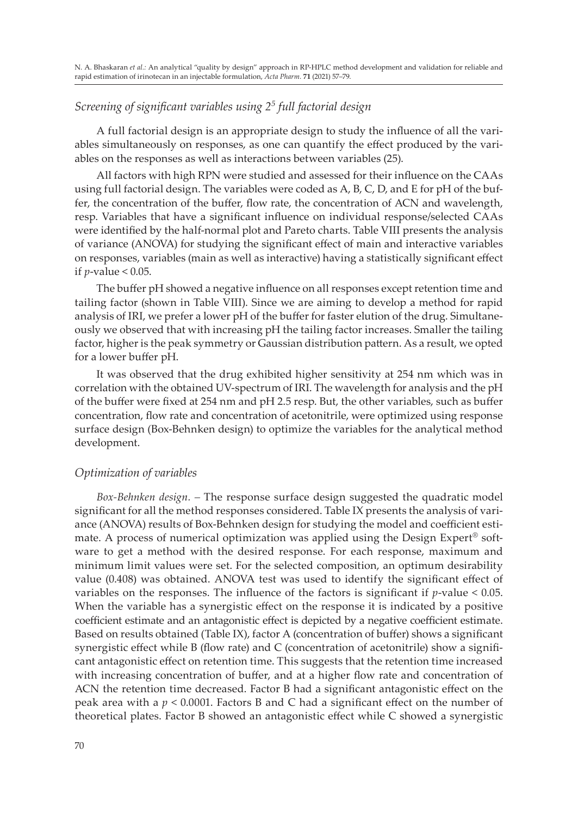## *Screening of significant variables using 2<sup>5</sup> full factorial design*

A full factorial design is an appropriate design to study the influence of all the variables simultaneously on responses, as one can quantify the effect produced by the variables on the responses as well as interactions between variables (25).

All factors with high RPN were studied and assessed for their influence on the CAAs using full factorial design. The variables were coded as A, B, C, D, and E for pH of the buffer, the concentration of the buffer, flow rate, the concentration of ACN and wavelength, resp. Variables that have a significant influence on individual response/selected CAAs were identified by the half-normal plot and Pareto charts. Table VIII presents the analysis of variance (ANOVA) for studying the significant effect of main and interactive variables on responses, variables (main as well as interactive) having a statistically significant effect if *p*-value < 0.05.

The buffer pH showed a negative influence on all responses except retention time and tailing factor (shown in Table VIII). Since we are aiming to develop a method for rapid analysis of IRI, we prefer a lower pH of the buffer for faster elution of the drug. Simultaneously we observed that with increasing pH the tailing factor increases. Smaller the tailing factor, higher is the peak symmetry or Gaussian distribution pattern. As a result, we opted for a lower buffer pH.

It was observed that the drug exhibited higher sensitivity at 254 nm which was in correlation with the obtained UV-spectrum of IRI. The wavelength for analysis and the pH of the buffer were fixed at 254 nm and pH 2.5 resp. But, the other variables, such as buffer concentration, flow rate and concentration of acetonitrile, were optimized using response surface design (Box-Behnken design) to optimize the variables for the analytical method development.

## *Optimization of variables*

*Box-Behnken design. –* The response surface design suggested the quadratic model significant for all the method responses considered. Table IX presents the analysis of variance (ANOVA) results of Box-Behnken design for studying the model and coefficient estimate. A process of numerical optimization was applied using the Design Expert® software to get a method with the desired response. For each response, maximum and minimum limit values were set. For the selected composition, an optimum desirability value (0.408) was obtained. ANOVA test was used to identify the significant effect of variables on the responses. The influence of the factors is significant if *p*-value < 0.05. When the variable has a synergistic effect on the response it is indicated by a positive coefficient estimate and an antagonistic effect is depicted by a negative coefficient estimate. Based on results obtained (Table IX), factor A (concentration of buffer) shows a significant synergistic effect while B (flow rate) and C (concentration of acetonitrile) show a significant antagonistic effect on retention time. This suggests that the retention time increased with increasing concentration of buffer, and at a higher flow rate and concentration of ACN the retention time decreased. Factor B had a significant antagonistic effect on the peak area with a *p* < 0.0001. Factors B and C had a significant effect on the number of theoretical plates. Factor B showed an antagonistic effect while C showed a synergistic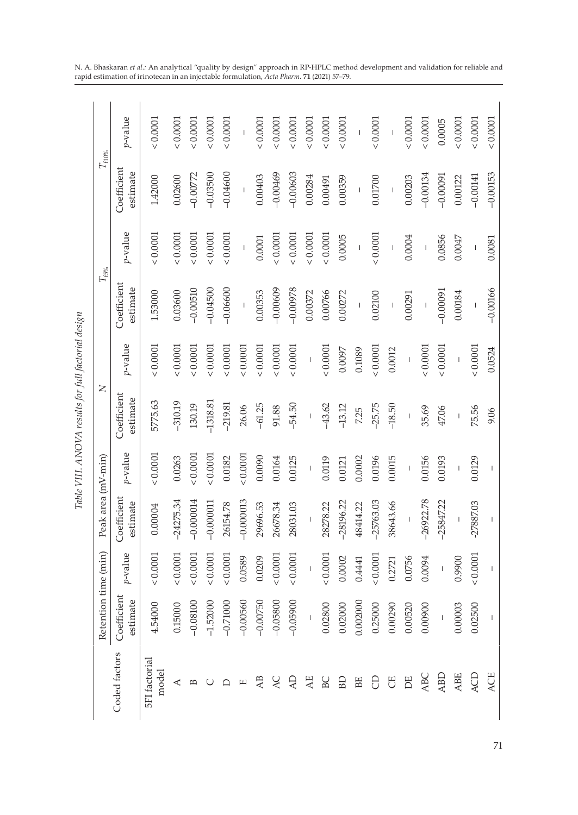|                               |                                                                                                                                                                                                                                                                                                                                                                                  |                                       |                                       |                          | Table VIII. ANOVA results for full factorial design |                                                                                                                                                                                                                                                                                                                                                                                                                |                                       |                                                                                                                                                                                                                                                                                                                                                                                                                |                                       |                                                             |
|-------------------------------|----------------------------------------------------------------------------------------------------------------------------------------------------------------------------------------------------------------------------------------------------------------------------------------------------------------------------------------------------------------------------------|---------------------------------------|---------------------------------------|--------------------------|-----------------------------------------------------|----------------------------------------------------------------------------------------------------------------------------------------------------------------------------------------------------------------------------------------------------------------------------------------------------------------------------------------------------------------------------------------------------------------|---------------------------------------|----------------------------------------------------------------------------------------------------------------------------------------------------------------------------------------------------------------------------------------------------------------------------------------------------------------------------------------------------------------------------------------------------------------|---------------------------------------|-------------------------------------------------------------|
|                               | Retention time (min)                                                                                                                                                                                                                                                                                                                                                             |                                       | Peak area (mV-min)                    |                          | $\geq$                                              |                                                                                                                                                                                                                                                                                                                                                                                                                |                                       | $T_{.5\%}$                                                                                                                                                                                                                                                                                                                                                                                                     | $T_{\mathrm{f10\%}}$                  |                                                             |
| Coded factors                 | Coefficient<br>estimate                                                                                                                                                                                                                                                                                                                                                          | p-value                               | Coefficient<br>estimate               | $p$ -value               | Coefficient<br>estimate                             | p-value                                                                                                                                                                                                                                                                                                                                                                                                        | Coefficient<br>estimate               | p-value                                                                                                                                                                                                                                                                                                                                                                                                        | Coefficient<br>estimate               | $p$ -value                                                  |
| <b>5FI</b> factorial<br>model | 4.54000                                                                                                                                                                                                                                                                                                                                                                          | & 0.0001                              | 0.00004                               | 0.0001                   | 5775.63                                             | 0.0001                                                                                                                                                                                                                                                                                                                                                                                                         | 1.53000                               | & 0.0001                                                                                                                                                                                                                                                                                                                                                                                                       | 1.42000                               | 0.0001                                                      |
| ⋖                             | 0.15000                                                                                                                                                                                                                                                                                                                                                                          | 0.0001                                | $-24275.34$                           | 0.0263                   | $-310.19$                                           | : 0.0001                                                                                                                                                                                                                                                                                                                                                                                                       | 0.03600                               | 0.0001                                                                                                                                                                                                                                                                                                                                                                                                         | 0.02600                               | 0.0001                                                      |
| $\mathbf{D}$                  | $-0.08100$                                                                                                                                                                                                                                                                                                                                                                       | 0.0001                                | $-0.000014$                           | 0.0001                   | 130.19                                              | : 0.0001                                                                                                                                                                                                                                                                                                                                                                                                       | $-0.00510$                            | 0.0001                                                                                                                                                                                                                                                                                                                                                                                                         | $-0.00772$                            | 0.0001                                                      |
| U                             | $-1.52000$                                                                                                                                                                                                                                                                                                                                                                       | 0.0001                                | $-0.000011$                           | 0.0001                   | $-1318.81$                                          | 0.0001                                                                                                                                                                                                                                                                                                                                                                                                         | $-0.04500$                            | 0.0001                                                                                                                                                                                                                                                                                                                                                                                                         | $-0.03500$                            | 0.0001                                                      |
| ≏                             | $-0.71000$                                                                                                                                                                                                                                                                                                                                                                       | 0.0001                                | 26154.78                              | 0.0182                   | $-219.81$                                           | 0.0001                                                                                                                                                                                                                                                                                                                                                                                                         | $-0.06600$                            | 0.0001                                                                                                                                                                                                                                                                                                                                                                                                         | $-0.04600$                            | 0.0001                                                      |
| $\boxed{\phantom{1}}$         | $-0.00560$                                                                                                                                                                                                                                                                                                                                                                       | 0.0589                                | $-0.000013$                           | 0.0001                   | 26.06                                               | 0.0001                                                                                                                                                                                                                                                                                                                                                                                                         | $\overline{1}$                        | $\mathsf I$                                                                                                                                                                                                                                                                                                                                                                                                    | $\overline{1}$                        | $\mathbf{I}$                                                |
| AB                            | $-0.00750$                                                                                                                                                                                                                                                                                                                                                                       | 0.0209                                | 29696.53                              | 0.0090                   | $-61.25$                                            | 0.0001                                                                                                                                                                                                                                                                                                                                                                                                         | 0.00353                               | 0.0001                                                                                                                                                                                                                                                                                                                                                                                                         | 0.00403                               | 0.0001                                                      |
| <b>AC</b>                     | $-0.05800$                                                                                                                                                                                                                                                                                                                                                                       | 0.0001                                | 26678.34                              | 0.0164                   | 91.88                                               | 0.0001                                                                                                                                                                                                                                                                                                                                                                                                         | $-0.00609$                            | 0.0001                                                                                                                                                                                                                                                                                                                                                                                                         | $-0.00469$                            | 0.0001                                                      |
| Q                             | $-0.05900$                                                                                                                                                                                                                                                                                                                                                                       | 0.0001                                | 28031.03                              | 0.0125                   | $-54.50$                                            | 0.0001                                                                                                                                                                                                                                                                                                                                                                                                         | $-0.00978$                            | 0.0001                                                                                                                                                                                                                                                                                                                                                                                                         | $-0.00603$                            | 0.0001                                                      |
| AE                            | $\mathsf I$                                                                                                                                                                                                                                                                                                                                                                      | $\begin{array}{c} \hline \end{array}$ | $\begin{array}{c} \hline \end{array}$ | $\overline{\phantom{a}}$ | $\mathsf I$                                         | $\mathsf I$                                                                                                                                                                                                                                                                                                                                                                                                    | 0.00372                               | 0.0001                                                                                                                                                                                                                                                                                                                                                                                                         | 0.00284                               | 0.0001                                                      |
| BC                            | 0.02800                                                                                                                                                                                                                                                                                                                                                                          | 0.0001                                | 28278.22                              | 0.0119                   | $-43.62$                                            | 0.0001                                                                                                                                                                                                                                                                                                                                                                                                         | 0.00766                               | 0.0001                                                                                                                                                                                                                                                                                                                                                                                                         | 0.00491                               | 0.0001                                                      |
| BD                            | 0.02000                                                                                                                                                                                                                                                                                                                                                                          | 0.0002                                | $-28196.22$                           | 0.0121                   | $-13.12$                                            | 0.0097                                                                                                                                                                                                                                                                                                                                                                                                         | 0.00272                               | 0.0005                                                                                                                                                                                                                                                                                                                                                                                                         | 0.00359                               | 0.0001                                                      |
| BE                            | 0.002000                                                                                                                                                                                                                                                                                                                                                                         | 0.4441                                | 48414.22                              | 0.0002                   | 7.25                                                | 0.1089                                                                                                                                                                                                                                                                                                                                                                                                         | $\overline{1}$                        | $\begin{array}{c} \rule{0pt}{2ex} \rule{0pt}{2ex} \rule{0pt}{2ex} \rule{0pt}{2ex} \rule{0pt}{2ex} \rule{0pt}{2ex} \rule{0pt}{2ex} \rule{0pt}{2ex} \rule{0pt}{2ex} \rule{0pt}{2ex} \rule{0pt}{2ex} \rule{0pt}{2ex} \rule{0pt}{2ex} \rule{0pt}{2ex} \rule{0pt}{2ex} \rule{0pt}{2ex} \rule{0pt}{2ex} \rule{0pt}{2ex} \rule{0pt}{2ex} \rule{0pt}{2ex} \rule{0pt}{2ex} \rule{0pt}{2ex} \rule{0pt}{2ex} \rule{0pt}{$ | $\sf I$                               | $\sf I$                                                     |
| 8                             | 0.25000                                                                                                                                                                                                                                                                                                                                                                          | 0.0001                                | -25763.03                             | 0.0196                   | $-25.75$                                            | 0.0001                                                                                                                                                                                                                                                                                                                                                                                                         | 0.02100                               | 0.0001                                                                                                                                                                                                                                                                                                                                                                                                         | 0.01700                               | 0.0001                                                      |
| 5                             | 0.00290                                                                                                                                                                                                                                                                                                                                                                          | 0.2721                                | 38643.66                              | 0.0015                   | $-18.50$                                            | 0.0012                                                                                                                                                                                                                                                                                                                                                                                                         | $\begin{array}{c} \hline \end{array}$ | $\begin{array}{c} \hline \end{array}$                                                                                                                                                                                                                                                                                                                                                                          | $\begin{array}{c} \hline \end{array}$ | $\begin{array}{c} \begin{array}{c} \end{array} \end{array}$ |
| E                             | 0.00520                                                                                                                                                                                                                                                                                                                                                                          | 0.0756                                | Ï                                     | $\overline{1}$           | $\overline{1}$                                      | $\overline{1}$                                                                                                                                                                                                                                                                                                                                                                                                 | 0.00291                               | 0.0004                                                                                                                                                                                                                                                                                                                                                                                                         | 0.00203                               | 0.0001                                                      |
| ABC                           | 0.00900                                                                                                                                                                                                                                                                                                                                                                          | 0.0094                                | $-26922.78$                           | 0.0156                   | 35.69                                               | 0.0001                                                                                                                                                                                                                                                                                                                                                                                                         | $\overline{\phantom{a}}$              | $\begin{array}{c} \rule{0pt}{2ex} \rule{0pt}{2ex} \rule{0pt}{2ex} \rule{0pt}{2ex} \rule{0pt}{2ex} \rule{0pt}{2ex} \rule{0pt}{2ex} \rule{0pt}{2ex} \rule{0pt}{2ex} \rule{0pt}{2ex} \rule{0pt}{2ex} \rule{0pt}{2ex} \rule{0pt}{2ex} \rule{0pt}{2ex} \rule{0pt}{2ex} \rule{0pt}{2ex} \rule{0pt}{2ex} \rule{0pt}{2ex} \rule{0pt}{2ex} \rule{0pt}{2ex} \rule{0pt}{2ex} \rule{0pt}{2ex} \rule{0pt}{2ex} \rule{0pt}{$ | $-0.00134$                            | 0.0001                                                      |
| ABD                           |                                                                                                                                                                                                                                                                                                                                                                                  |                                       | $-25847.22$                           | 0.0193                   | 47.06                                               | 0.0001                                                                                                                                                                                                                                                                                                                                                                                                         | $F6000.0-$                            | 0.0856                                                                                                                                                                                                                                                                                                                                                                                                         | $-0.00091$                            | 0.0005                                                      |
| ABE                           | 0.00003                                                                                                                                                                                                                                                                                                                                                                          | 0.9900                                |                                       |                          | $\overline{1}$                                      | $\begin{array}{c} \rule{0pt}{2ex} \rule{0pt}{2ex} \rule{0pt}{2ex} \rule{0pt}{2ex} \rule{0pt}{2ex} \rule{0pt}{2ex} \rule{0pt}{2ex} \rule{0pt}{2ex} \rule{0pt}{2ex} \rule{0pt}{2ex} \rule{0pt}{2ex} \rule{0pt}{2ex} \rule{0pt}{2ex} \rule{0pt}{2ex} \rule{0pt}{2ex} \rule{0pt}{2ex} \rule{0pt}{2ex} \rule{0pt}{2ex} \rule{0pt}{2ex} \rule{0pt}{2ex} \rule{0pt}{2ex} \rule{0pt}{2ex} \rule{0pt}{2ex} \rule{0pt}{$ | 0.00184                               | 0.0047                                                                                                                                                                                                                                                                                                                                                                                                         | 0.00122                               | 0.0001                                                      |
| ACD                           | 0.02500                                                                                                                                                                                                                                                                                                                                                                          | 0.0001                                | 27887.03                              | 0.0129                   | 75.56                                               | 0.0001                                                                                                                                                                                                                                                                                                                                                                                                         | $\overline{1}$                        | $\mathsf I$                                                                                                                                                                                                                                                                                                                                                                                                    | $-0.00141$                            | 0.0001                                                      |
| ACE                           | $\begin{array}{c} \rule{0pt}{2.5ex} \rule{0pt}{2.5ex} \rule{0pt}{2.5ex} \rule{0pt}{2.5ex} \rule{0pt}{2.5ex} \rule{0pt}{2.5ex} \rule{0pt}{2.5ex} \rule{0pt}{2.5ex} \rule{0pt}{2.5ex} \rule{0pt}{2.5ex} \rule{0pt}{2.5ex} \rule{0pt}{2.5ex} \rule{0pt}{2.5ex} \rule{0pt}{2.5ex} \rule{0pt}{2.5ex} \rule{0pt}{2.5ex} \rule{0pt}{2.5ex} \rule{0pt}{2.5ex} \rule{0pt}{2.5ex} \rule{0$ | $\begin{array}{c} \hline \end{array}$ | $\overline{\phantom{a}}$              | $\overline{\phantom{a}}$ | 9.06                                                | 0.0524                                                                                                                                                                                                                                                                                                                                                                                                         | $-0.00166$                            | 0.0081                                                                                                                                                                                                                                                                                                                                                                                                         | $-0.00153$                            | 0.0001                                                      |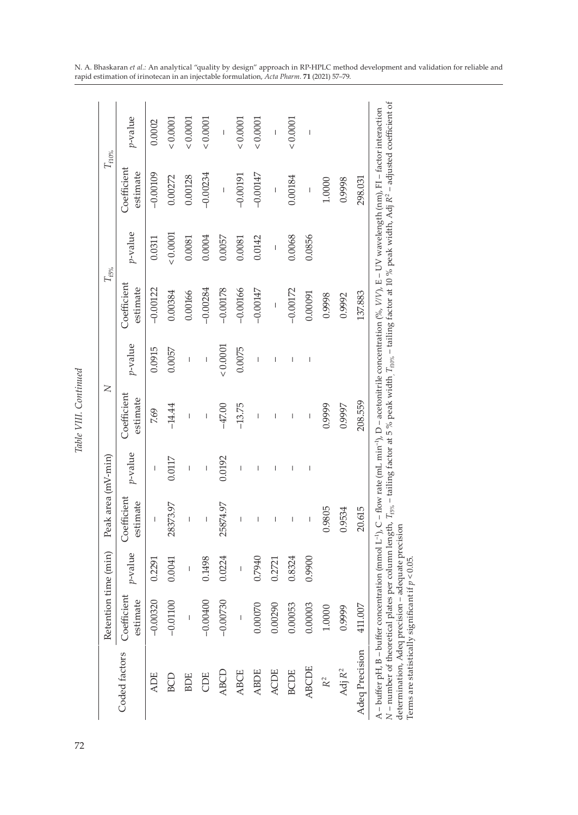|                                                                                                                                                                                                                                                                                                                                                                                                                                                                                                                      | Retention time (min)    |         | Peak area (mV-min)                                                                                                                                                                                                                                                                                                                                                               |                | $\geq$                                                                                                                                                                                                                                                                                                                                                                           |                                                                                                                                                                                                                                                                                                                                                                                  | $T_{f5\%}$              |                 | $T_{\mathrm{f10\%}}$     |                          |
|----------------------------------------------------------------------------------------------------------------------------------------------------------------------------------------------------------------------------------------------------------------------------------------------------------------------------------------------------------------------------------------------------------------------------------------------------------------------------------------------------------------------|-------------------------|---------|----------------------------------------------------------------------------------------------------------------------------------------------------------------------------------------------------------------------------------------------------------------------------------------------------------------------------------------------------------------------------------|----------------|----------------------------------------------------------------------------------------------------------------------------------------------------------------------------------------------------------------------------------------------------------------------------------------------------------------------------------------------------------------------------------|----------------------------------------------------------------------------------------------------------------------------------------------------------------------------------------------------------------------------------------------------------------------------------------------------------------------------------------------------------------------------------|-------------------------|-----------------|--------------------------|--------------------------|
| Coded factors                                                                                                                                                                                                                                                                                                                                                                                                                                                                                                        | Coefficient<br>estimate | p-value | Coefficient<br>estimate                                                                                                                                                                                                                                                                                                                                                          | p-value        | Coefficient<br>estimate                                                                                                                                                                                                                                                                                                                                                          | p-value                                                                                                                                                                                                                                                                                                                                                                          | Coefficient<br>estimate | <i>v</i> -value | Coefficient<br>estimate  | p-value                  |
| <b>ADE</b>                                                                                                                                                                                                                                                                                                                                                                                                                                                                                                           | $-0.00320$              | 0.2291  | $\mathbf{I}$                                                                                                                                                                                                                                                                                                                                                                     | I              | 7.69                                                                                                                                                                                                                                                                                                                                                                             | 0.0915                                                                                                                                                                                                                                                                                                                                                                           | $-0.00122$              | 0.0311          | $-0.00109$               | 0.0002                   |
| BCD                                                                                                                                                                                                                                                                                                                                                                                                                                                                                                                  | $-0.01100$              | 0.0041  | 28373.97                                                                                                                                                                                                                                                                                                                                                                         | 0.0117         | $-14.44$                                                                                                                                                                                                                                                                                                                                                                         | 0.0057                                                                                                                                                                                                                                                                                                                                                                           | 0.00384                 | 0.0001          | 0.00272                  | 200001                   |
| <b>BOE</b>                                                                                                                                                                                                                                                                                                                                                                                                                                                                                                           | I                       | Ī       | Ī                                                                                                                                                                                                                                                                                                                                                                                | Ï              | Ï                                                                                                                                                                                                                                                                                                                                                                                | Ī                                                                                                                                                                                                                                                                                                                                                                                | 0.00166                 | 0.0081          | 0.00128                  | 200001                   |
| Ë                                                                                                                                                                                                                                                                                                                                                                                                                                                                                                                    | $-0.00400$              | 0.1498  | $\begin{array}{c} \rule{0pt}{2.5ex} \rule{0pt}{2.5ex} \rule{0pt}{2.5ex} \rule{0pt}{2.5ex} \rule{0pt}{2.5ex} \rule{0pt}{2.5ex} \rule{0pt}{2.5ex} \rule{0pt}{2.5ex} \rule{0pt}{2.5ex} \rule{0pt}{2.5ex} \rule{0pt}{2.5ex} \rule{0pt}{2.5ex} \rule{0pt}{2.5ex} \rule{0pt}{2.5ex} \rule{0pt}{2.5ex} \rule{0pt}{2.5ex} \rule{0pt}{2.5ex} \rule{0pt}{2.5ex} \rule{0pt}{2.5ex} \rule{0$ | $\overline{1}$ | $\begin{array}{c} \rule{0pt}{2.5ex} \rule{0pt}{2.5ex} \rule{0pt}{2.5ex} \rule{0pt}{2.5ex} \rule{0pt}{2.5ex} \rule{0pt}{2.5ex} \rule{0pt}{2.5ex} \rule{0pt}{2.5ex} \rule{0pt}{2.5ex} \rule{0pt}{2.5ex} \rule{0pt}{2.5ex} \rule{0pt}{2.5ex} \rule{0pt}{2.5ex} \rule{0pt}{2.5ex} \rule{0pt}{2.5ex} \rule{0pt}{2.5ex} \rule{0pt}{2.5ex} \rule{0pt}{2.5ex} \rule{0pt}{2.5ex} \rule{0$ | $\begin{array}{c} \rule{0pt}{2.5ex} \rule{0pt}{2.5ex} \rule{0pt}{2.5ex} \rule{0pt}{2.5ex} \rule{0pt}{2.5ex} \rule{0pt}{2.5ex} \rule{0pt}{2.5ex} \rule{0pt}{2.5ex} \rule{0pt}{2.5ex} \rule{0pt}{2.5ex} \rule{0pt}{2.5ex} \rule{0pt}{2.5ex} \rule{0pt}{2.5ex} \rule{0pt}{2.5ex} \rule{0pt}{2.5ex} \rule{0pt}{2.5ex} \rule{0pt}{2.5ex} \rule{0pt}{2.5ex} \rule{0pt}{2.5ex} \rule{0$ | $-0.00284$              | 0.0004          | $-0.00234$               | 0.00001                  |
| <b>ABCD</b>                                                                                                                                                                                                                                                                                                                                                                                                                                                                                                          | $-0.00730$              | 0.0224  | 25874.97                                                                                                                                                                                                                                                                                                                                                                         | 0.0192         | $-47.00$                                                                                                                                                                                                                                                                                                                                                                         | 0.0001                                                                                                                                                                                                                                                                                                                                                                           | $-0.00178$              | 0.0057          | $\overline{\phantom{a}}$ | $\overline{\phantom{a}}$ |
| <b>ABCE</b>                                                                                                                                                                                                                                                                                                                                                                                                                                                                                                          | $\overline{1}$          | Ī       | Ï                                                                                                                                                                                                                                                                                                                                                                                | I              | $-13.75$                                                                                                                                                                                                                                                                                                                                                                         | 0.0075                                                                                                                                                                                                                                                                                                                                                                           | $-0.00166$              | 0.0081          | $-0.00191$               | 0.0001                   |
| <b>ABDE</b>                                                                                                                                                                                                                                                                                                                                                                                                                                                                                                          | 0.00070                 | 0.7940  | $\mathbf{I}$                                                                                                                                                                                                                                                                                                                                                                     | Ī              | Ï                                                                                                                                                                                                                                                                                                                                                                                | $\mathbf{I}$                                                                                                                                                                                                                                                                                                                                                                     | $-0.00147$              | 0.0142          | $-0.00147$               | 0.0001                   |
| <b>ACDE</b>                                                                                                                                                                                                                                                                                                                                                                                                                                                                                                          | 0.00290                 | 0.2721  | I                                                                                                                                                                                                                                                                                                                                                                                | I              | I                                                                                                                                                                                                                                                                                                                                                                                | Ï                                                                                                                                                                                                                                                                                                                                                                                | $\overline{1}$          | $\overline{1}$  | $\overline{1}$           | $\overline{1}$           |
| <b>BCDE</b>                                                                                                                                                                                                                                                                                                                                                                                                                                                                                                          | 0.00053                 | 0.8324  | Ï                                                                                                                                                                                                                                                                                                                                                                                | Ï              | I                                                                                                                                                                                                                                                                                                                                                                                |                                                                                                                                                                                                                                                                                                                                                                                  | $-0.00172$              | 0.0068          | 0.00184                  | 0.00001                  |
| ABCDE                                                                                                                                                                                                                                                                                                                                                                                                                                                                                                                | 0.00003                 | 0.9900  | Ī                                                                                                                                                                                                                                                                                                                                                                                | $\mathbf{I}$   | $\overline{\phantom{a}}$                                                                                                                                                                                                                                                                                                                                                         | $\mathbf{I}$                                                                                                                                                                                                                                                                                                                                                                     | 0.00091                 | 0.0856          | Ī                        | $\overline{\phantom{a}}$ |
| R <sup>2</sup>                                                                                                                                                                                                                                                                                                                                                                                                                                                                                                       | 1.0000                  |         | 0.9805                                                                                                                                                                                                                                                                                                                                                                           |                | 0.9999                                                                                                                                                                                                                                                                                                                                                                           |                                                                                                                                                                                                                                                                                                                                                                                  | 0.9998                  |                 | 1.0000                   |                          |
| Adj R <sup>2</sup>                                                                                                                                                                                                                                                                                                                                                                                                                                                                                                   | 0.9999                  |         | 0.9534                                                                                                                                                                                                                                                                                                                                                                           |                | 0.9997                                                                                                                                                                                                                                                                                                                                                                           |                                                                                                                                                                                                                                                                                                                                                                                  | 0.9992                  |                 | 0.9998                   |                          |
| Adeq Precision                                                                                                                                                                                                                                                                                                                                                                                                                                                                                                       | 411.007                 |         | 20.615                                                                                                                                                                                                                                                                                                                                                                           |                | 208.559                                                                                                                                                                                                                                                                                                                                                                          |                                                                                                                                                                                                                                                                                                                                                                                  | 137.883                 |                 | 298.031                  |                          |
| N – number of theoretical plates per column length, $T_{\rm{e}_{\rm{N}}}$ – tailing factor at 5 % peak width, $T_{\rm{flow}}$ – tailing factor at 10 % peak width, Adj R² – adjusted coefficient of<br>A – buffer pH, B – buffer concentration (mmol L <sup>-1</sup> ), C – flow rate (mL min <sup>-1</sup> ), D – acetonitrile concentration (%, V/V), E – UV wavelength (nm), F1 – factor interaction<br>determination, Adeq precision – adequate precision<br>Terms are statistically significant if $p < 0.05$ . |                         |         |                                                                                                                                                                                                                                                                                                                                                                                  |                |                                                                                                                                                                                                                                                                                                                                                                                  |                                                                                                                                                                                                                                                                                                                                                                                  |                         |                 |                          |                          |

Table VIII. Continued *Table VIII. Continued*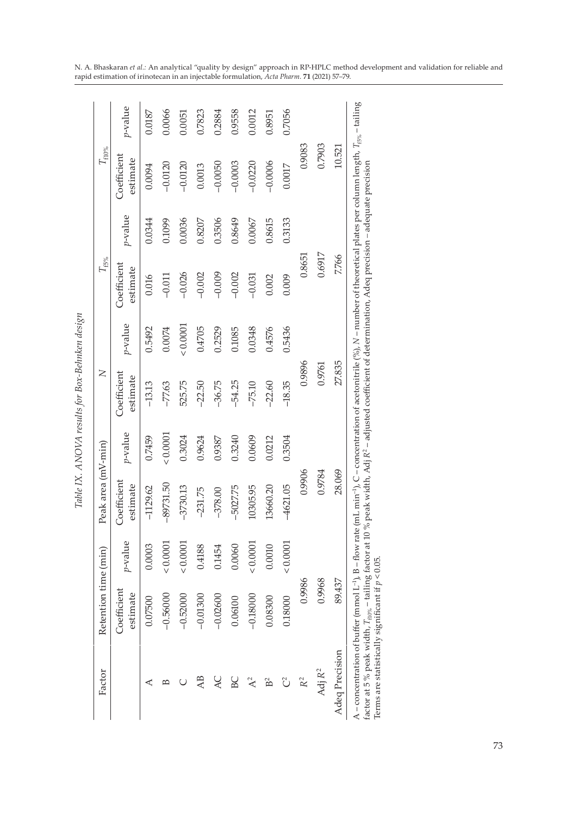| Factor             | Retention time (min)    |         | Peak area (mV-min)      |         | Z                       |         | $T_{\rm f5\%}$          |         | $T_{\rm f10\%}$         |         |
|--------------------|-------------------------|---------|-------------------------|---------|-------------------------|---------|-------------------------|---------|-------------------------|---------|
|                    | Coefficient<br>estimate | p-value | Coefficient<br>estimate | p-value | Coefficient<br>estimate | p-value | Coefficient<br>estimate | p-value | Coefficient<br>estimate | p-value |
| ⋖                  | 0.07500                 | 0.0003  | $-1129.62$              | 0.7459  | $-13.13$                | 0.5492  | 0.016                   | 0.0344  | 0.0094                  | 0.0187  |
| $\overline{B}$     | $-0.56000$              | 0.0001  | $-89731.50$             | 0.0001  | $-77.63$                | 0.0074  | $-0.011$                | 0.1099  | $-0.0120$               | 0.0066  |
|                    | $-0.52000$              | 0.0001  | $-3730.13$              | 0.3024  | 525.75                  | 0.0001  | $-0.026$                | 0.0036  | $-0.0120$               | 0.0051  |
| AB                 | $-0.01300$              | 0.4188  | $-231.75$               | 0.9624  | $-22.50$                | 0.4705  | $-0.002$                | 0.8207  | 0.0013                  | 0.7823  |
| <b>AC</b>          | $-0.02600$              | 0.1454  | $-378.00$               | 0.9387  | $-36.75$                | 0.2529  | $-0.009$                | 0.3506  | $-0.0050$               | 0.2884  |
| BC                 | 0.06100                 | 0.0060  | $-5027.75$              | 0.3240  | $-54.25$                | 0.1085  | $-0.002$                | 0.8649  | $-0.0003$               | 0.9558  |
| $A^2$              | $-0.18000$              | 0.0001  | 10305.95                | 0.0609  | $-75.10$                | 0.0348  | $-0.031$                | 0.0067  | $-0.0220$               | 0.0012  |
| B                  | 0.08300                 | 0.0010  | 13660.20                | 0.0212  | $-22.60$                | 0.4576  | 0.002                   | 0.8615  | $-0.0006$               | 0.8951  |
| U                  | 0.18000                 | 0.0001  | $-4621.05$              | 0.3504  | $-18.35$                | 0.5436  | 0.009                   | 0.3133  | 0.0017                  | 0.7056  |
| $\mathbb{R}^2$     | 0.9986                  |         | 0.9906                  |         | 0.9896                  |         | 0.8651                  |         | 0.9083                  |         |
| Adj $\mathbb{R}^2$ | 0.9968                  |         | 0.9784                  |         | 0.9761                  |         | 0.6917                  |         | 0.7903                  |         |
| Adeq Precision     | 89.437                  |         | 28.069                  |         | 27.835                  |         | 7.766                   |         | 10.521                  |         |

Table IX. ANOVA results for Box-Behnken design *Table IX. ANOVA results for Box-Behnken design*

uate precision factor at 5 % peak width, *T*f10% – tailing factor at 10 % peak width, Adj *R*2 – adjusted coefficient of determination, Adeq precision *–* adequate precision auequ Ę kdeq prec ij š ă ą ιeα adjus Terms are statistically significant if *p* < 0.05.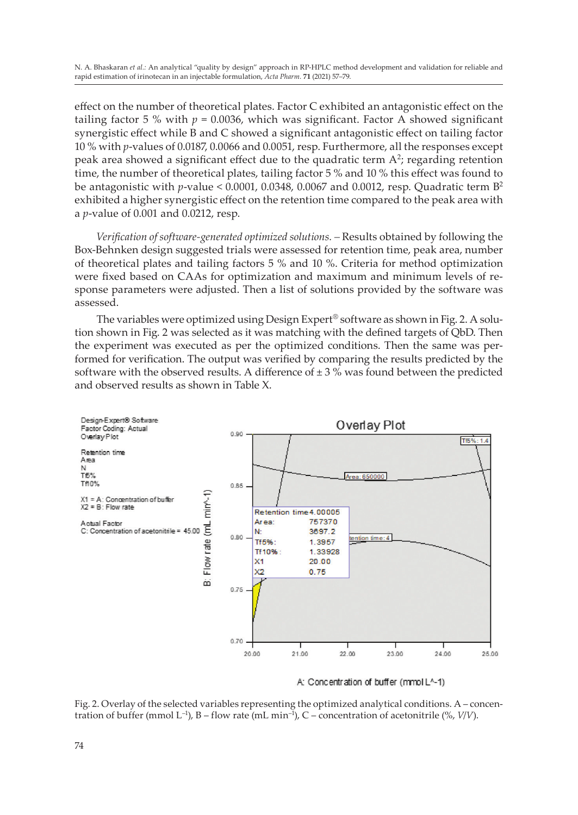effect on the number of theoretical plates. Factor C exhibited an antagonistic effect on the tailing factor 5 % with  $p = 0.0036$ , which was significant. Factor A showed significant synergistic effect while B and C showed a significant antagonistic effect on tailing factor 10 % with *p*-values of 0.0187, 0.0066 and 0.0051, resp. Furthermore, all the responses except peak area showed a significant effect due to the quadratic term  $A^2$ ; regarding retention time, the number of theoretical plates, tailing factor 5 % and 10 % this effect was found to be antagonistic with *p*-value < 0.0001, 0.0348, 0.0067 and 0.0012, resp. Quadratic term B<sup>2</sup> exhibited a higher synergistic effect on the retention time compared to the peak area with a *p*-value of 0.001 and 0.0212, resp.

Verification of software-generated optimized solutions. - Results obtained by following the Box-Behnken design suggested trials were assessed for retention time, peak area, number of theoretical plates and tailing factors 5 % and 10 %. Criteria for method optimization were fixed based on CAAs for optimization and maximum and minimum levels of response parameters were adjusted. Then a list of solutions provided by the software was assessed.

The variables were optimized using Design Expert® software as shown in Fig. 2. A solution shown in Fig. 2 was selected as it was matching with the defined targets of QbD. Then the experiment was executed as per the optimized conditions. Then the same was performed for verification. The output was verified by comparing the results predicted by the software with the observed results. A difference of  $\pm$  3 % was found between the predicted and observed results as shown in Table X.



A: Concentration of buffer (mmol L^-1)

Fig. 2. Overlay of the selected variables representing the optimized analytical conditions. A – concentration of buffer (mmol L<sup>-1</sup>), B – flow rate (mL min<sup>-1</sup>), C – concentration of acetonitrile (%,  $V/V$ ).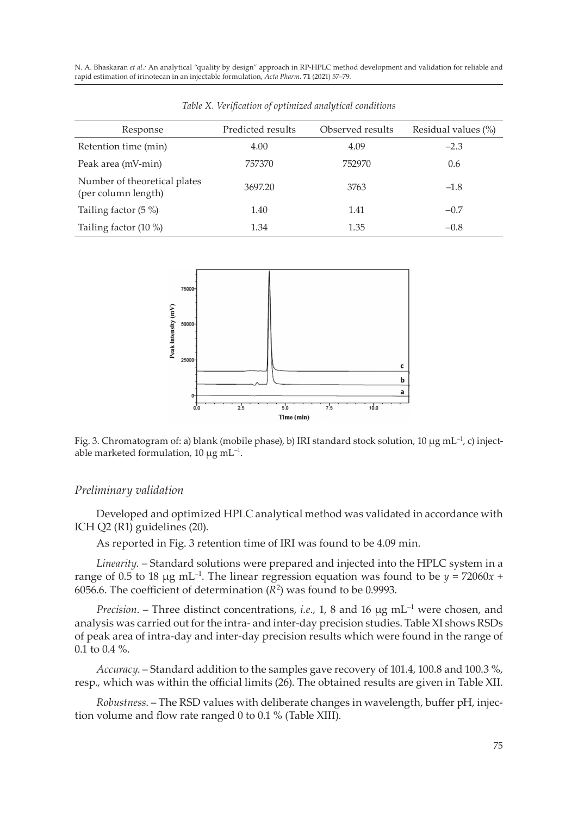| Response                                            | Predicted results | Observed results | Residual values (%) |
|-----------------------------------------------------|-------------------|------------------|---------------------|
| Retention time (min)                                | 4.00              | 4.09             | $-2.3$              |
| Peak area (mV-min)                                  | 757370            | 752970           | 0.6                 |
| Number of theoretical plates<br>(per column length) | 3697.20           | 3763             | $-1.8$              |
| Tailing factor $(5\%)$                              | 1.40              | 1.41             | $-0.7$              |
| Tailing factor (10 %)                               | 1.34              | 1.35             | $-0.8$              |





Fig. 3. Chromatogram of: a) blank (mobile phase), b) IRI standard stock solution, 10 µg mL<sup>-1</sup>, c) injectable marketed formulation, 10  $\mu$ g mL<sup>-1</sup>.

#### *Preliminary validation*

Developed and optimized HPLC analytical method was validated in accordance with ICH Q2 (R1) guidelines (20).

As reported in Fig. 3 retention time of IRI was found to be 4.09 min.

*Linearity. –* Standard solutions were prepared and injected into the HPLC system in a range of 0.5 to 18  $\mu$ g mL<sup>-1</sup>. The linear regression equation was found to be  $\gamma = 72060x +$ 6056.6. The coefficient of determination  $(R^2)$  was found to be 0.9993.

*Precision.* – Three distinct concentrations, *i.e.*, 1, 8 and 16 µg mL<sup>-1</sup> were chosen, and analysis was carried out for the intra- and inter-day precision studies. Table XI shows RSDs of peak area of intra-day and inter-day precision results which were found in the range of 0.1 to 0.4 %.

*Accuracy*. – Standard addition to the samples gave recovery of 101.4, 100.8 and 100.3 %, resp., which was within the official limits (26). The obtained results are given in Table XII.

*Robustness*. – The RSD values with deliberate changes in wavelength, buffer pH, injection volume and flow rate ranged 0 to 0.1 % (Table XIII).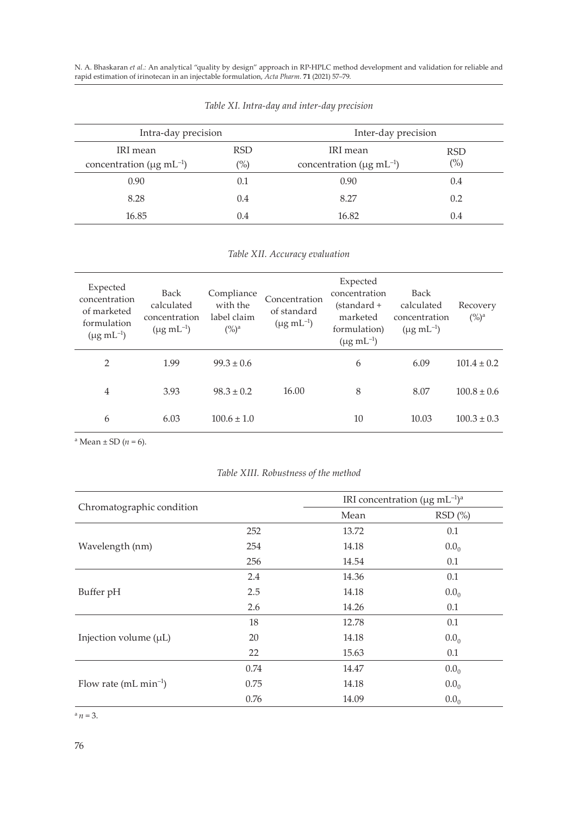| Intra-day precision                        |                | Inter-day precision                        |            |  |
|--------------------------------------------|----------------|--------------------------------------------|------------|--|
| IRI mean                                   | <b>RSD</b>     | IRI mean                                   | <b>RSD</b> |  |
| concentration ( $\mu$ g mL <sup>-1</sup> ) | $\frac{10}{6}$ | concentration ( $\mu$ g mL <sup>-1</sup> ) | $(\%)$     |  |
| 0.90                                       | 0.1            | 0.90                                       | 0.4        |  |
| 8.28                                       | 0.4            | 8.27                                       | 0.2        |  |
| 16.85                                      | 0.4            | 16.82                                      | 0.4        |  |

*Table XI. Intra-day and inter-day precision*

*Table XII. Accuracy evaluation*

| Expected<br>concentration<br>of marketed<br>formulation<br>$(\mu g \; {\rm mL}^{-1})$ | Back<br>calculated<br>concentration<br>$(\mu g \, {\rm mL}^{-1})$ | Compliance<br>with the<br>label claim<br>$(%)^a$ | Concentration<br>of standard<br>$(\mu g \, mL^{-1})$ | Expected<br>concentration<br>$(standard +$<br>marketed<br>formulation)<br>$(\mu g \, {\rm mL}^{-1})$ | <b>Back</b><br>calculated<br>concentration<br>$(\mu g \, {\rm mL}^{-1})$ | Recovery<br>$(%)^a$ |
|---------------------------------------------------------------------------------------|-------------------------------------------------------------------|--------------------------------------------------|------------------------------------------------------|------------------------------------------------------------------------------------------------------|--------------------------------------------------------------------------|---------------------|
| $\overline{2}$                                                                        | 1.99                                                              | $99.3 \pm 0.6$                                   |                                                      | 6                                                                                                    | 6.09                                                                     | $101.4 \pm 0.2$     |
| 4                                                                                     | 3.93                                                              | $98.3 \pm 0.2$                                   | 16.00                                                | 8                                                                                                    | 8.07                                                                     | $100.8 \pm 0.6$     |
| 6                                                                                     | 6.03                                                              | $100.6 \pm 1.0$                                  |                                                      | 10                                                                                                   | 10.03                                                                    | $100.3 \pm 0.3$     |

 $^{\rm a}$  Mean  $\pm$  SD (*n* = 6).

## *Table XIII. Robustness of the method*

|                            |      |       | IRI concentration ( $\mu$ g mL <sup>-1</sup> ) <sup>a</sup> |  |
|----------------------------|------|-------|-------------------------------------------------------------|--|
| Chromatographic condition  |      | Mean  | RSD(%)                                                      |  |
|                            | 252  | 13.72 | 0.1                                                         |  |
| Wavelength (nm)            | 254  | 14.18 | 0.0 <sub>0</sub>                                            |  |
|                            | 256  | 14.54 | 0.1                                                         |  |
| Buffer pH                  | 2.4  | 14.36 | 0.1                                                         |  |
|                            | 2.5  | 14.18 | 0.0 <sub>0</sub>                                            |  |
|                            | 2.6  | 14.26 | 0.1                                                         |  |
| Injection volume $(\mu L)$ | 18   | 12.78 | 0.1                                                         |  |
|                            | 20   | 14.18 | 0.0 <sub>0</sub>                                            |  |
|                            | 22   | 15.63 | 0.1                                                         |  |
| Flow rate $(mL min^{-1})$  | 0.74 | 14.47 | 0.0 <sub>0</sub>                                            |  |
|                            | 0.75 | 14.18 | 0.0 <sub>0</sub>                                            |  |
|                            | 0.76 | 14.09 | 0.0 <sub>0</sub>                                            |  |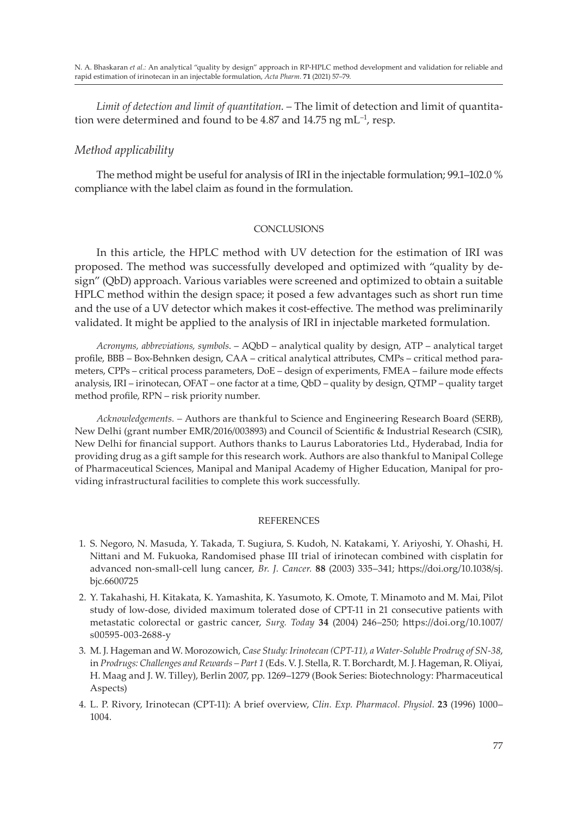*Limit of detection and limit of quantitation*. – The limit of detection and limit of quantitation were determined and found to be 4.87 and  $14.75$  ng mL<sup>-1</sup>, resp.

## *Method applicability*

The method might be useful for analysis of IRI in the injectable formulation; 99.1–102.0 % compliance with the label claim as found in the formulation.

### **CONCLUSIONS**

In this article, the HPLC method with UV detection for the estimation of IRI was proposed. The method was successfully developed and optimized with "quality by design" (QbD) approach. Various variables were screened and optimized to obtain a suitable HPLC method within the design space; it posed a few advantages such as short run time and the use of a UV detector which makes it cost-effective. The method was preliminarily validated. It might be applied to the analysis of IRI in injectable marketed formulation.

*Acronyms, abbreviations, symbols*. – AQbD – analytical quality by design, ATP – analytical target profile, BBB – Box-Behnken design, CAA – critical analytical attributes, CMPs – critical method parameters, CPPs – critical process parameters, DoE – design of experiments, FMEA – failure mode effects analysis, IRI – irinotecan, OFAT – one factor at a time, QbD – quality by design, QTMP – quality target method profile, RPN – risk priority number.

*Acknowledgements. –* Authors are thankful to Science and Engineering Research Board (SERB), New Delhi (grant number EMR/2016/003893) and Council of Scientific & Industrial Research (CSIR), New Delhi for financial support. Authors thanks to Laurus Laboratories Ltd., Hyderabad, India for providing drug as a gift sample for this research work. Authors are also thankful to Manipal College of Pharmaceutical Sciences, Manipal and Manipal Academy of Higher Education, Manipal for providing infrastructural facilities to complete this work successfully.

#### **REFERENCES**

- 1. S. Negoro, N. Masuda, Y. Takada, T. Sugiura, S. Kudoh, N. Katakami, Y. Ariyoshi, Y. Ohashi, H. Nittani and M. Fukuoka, Randomised phase III trial of irinotecan combined with cisplatin for advanced non-small-cell lung cancer, *Br. J. Cancer.* **88** (2003) 335–341; https://doi.org/10.1038/sj. bjc.6600725
- 2. Y. Takahashi, H. Kitakata, K. Yamashita, K. Yasumoto, K. Omote, T. Minamoto and M. Mai, Pilot study of low-dose, divided maximum tolerated dose of CPT-11 in 21 consecutive patients with metastatic colorectal or gastric cancer, *Surg. Today* **34** (2004) 246–250; https://doi.org/10.1007/ s00595-003-2688-y
- 3. M. J. Hageman and W. Morozowich, *Case Study: Irinotecan (CPT-11), a Water-Soluble Prodrug of SN-38*, in *Prodrugs: Challenges and Rewards – Part 1* (Eds. V. J. Stella, R. T. Borchardt, M. J. Hageman, R. Oliyai, H. Maag and J. W. Tilley), Berlin 2007, pp. 1269–1279 (Book Series: Biotechnology: Pharmaceutical Aspects)
- 4. L. P. Rivory, Irinotecan (CPT-11): A brief overview, *Clin. Exp. Pharmacol. Physiol.* **23** (1996) 1000– 1004.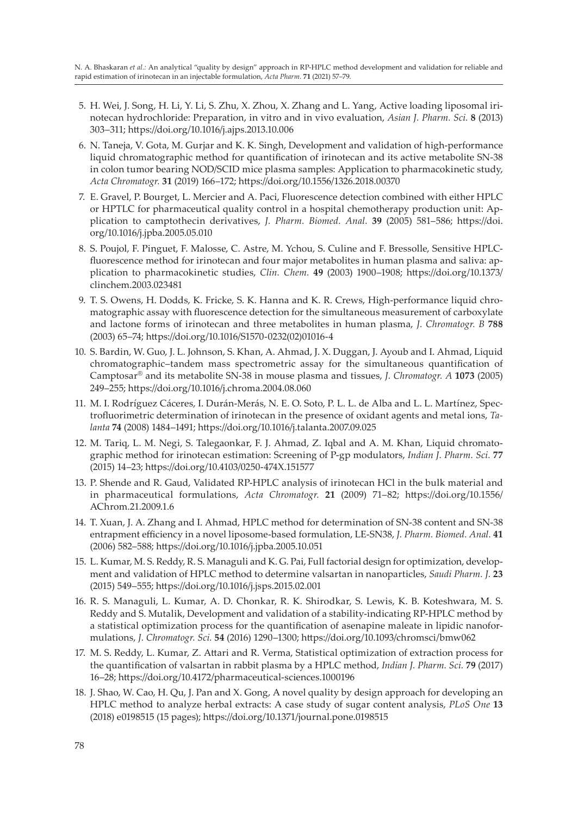- 5. H. Wei, J. Song, H. Li, Y. Li, S. Zhu, X. Zhou, X. Zhang and L. Yang, Active loading liposomal irinotecan hydrochloride: Preparation, in vitro and in vivo evaluation, *Asian J. Pharm. Sci.* **8** (2013) 303–311; https://doi.org/10.1016/j.ajps.2013.10.006
- 6. N. Taneja, V. Gota, M. Gurjar and K. K. Singh, Development and validation of high-performance liquid chromatographic method for quantification of irinotecan and its active metabolite SN-38 in colon tumor bearing NOD/SCID mice plasma samples: Application to pharmacokinetic study, *Acta Chromatogr.* **31** (2019) 166–172; https://doi.org/10.1556/1326.2018.00370
- 7. E. Gravel, P. Bourget, L. Mercier and A. Paci, Fluorescence detection combined with either HPLC or HPTLC for pharmaceutical quality control in a hospital chemotherapy production unit: Application to camptothecin derivatives, *J. Pharm. Biomed. Anal.* **39** (2005) 581–586; https://doi. org/10.1016/j.jpba.2005.05.010
- 8. S. Poujol, F. Pinguet, F. Malosse, C. Astre, M. Ychou, S. Culine and F. Bressolle, Sensitive HPLCfluorescence method for irinotecan and four major metabolites in human plasma and saliva: application to pharmacokinetic studies, *Clin. Chem.* **49** (2003) 1900–1908; https://doi.org/10.1373/ clinchem.2003.023481
- 9. T. S. Owens, H. Dodds, K. Fricke, S. K. Hanna and K. R. Crews, High-performance liquid chromatographic assay with fluorescence detection for the simultaneous measurement of carboxylate and lactone forms of irinotecan and three metabolites in human plasma, *J. Chromatogr. B* **788** (2003) 65–74; https://doi.org/10.1016/S1570-0232(02)01016-4
- 10. S. Bardin, W. Guo, J. L. Johnson, S. Khan, A. Ahmad, J. X. Duggan, J. Ayoub and I. Ahmad, Liquid chromatographic–tandem mass spectrometric assay for the simultaneous quantification of Camptosar® and its metabolite SN-38 in mouse plasma and tissues, *J. Chromatogr. A* **1073** (2005) 249–255; https://doi.org/10.1016/j.chroma.2004.08.060
- 11. M. I. Rodríguez Cáceres, I. Durán-Merás, N. E. O. Soto, P. L. L. de Alba and L. L. Martínez, Spectrofluorimetric determination of irinotecan in the presence of oxidant agents and metal ions, *Talanta* **74** (2008) 1484–1491; https://doi.org/10.1016/j.talanta.2007.09.025
- 12. M. Tariq, L. M. Negi, S. Talegaonkar, F. J. Ahmad, Z. Iqbal and A. M. Khan, Liquid chromatographic method for irinotecan estimation: Screening of P-gp modulators, *Indian J. Pharm. Sci.* **77** (2015) 14–23; https://doi.org/10.4103/0250-474X.151577
- 13. P. Shende and R. Gaud, Validated RP-HPLC analysis of irinotecan HCl in the bulk material and in pharmaceutical formulations, *Acta Chromatogr.* **21** (2009) 71–82; https://doi.org/10.1556/ AChrom.21.2009.1.6
- 14. T. Xuan, J. A. Zhang and I. Ahmad, HPLC method for determination of SN-38 content and SN-38 entrapment efficiency in a novel liposome-based formulation, LE-SN38, *J. Pharm. Biomed. Anal.* **41** (2006) 582–588; https://doi.org/10.1016/j.jpba.2005.10.051
- 15. L. Kumar, M. S. Reddy, R. S. Managuli and K. G. Pai, Full factorial design for optimization, development and validation of HPLC method to determine valsartan in nanoparticles, *Saudi Pharm. J.* **23** (2015) 549–555; https://doi.org/10.1016/j.jsps.2015.02.001
- 16. R. S. Managuli, L. Kumar, A. D. Chonkar, R. K. Shirodkar, S. Lewis, K. B. Koteshwara, M. S. Reddy and S. Mutalik, Development and validation of a stability-indicating RP-HPLC method by a statistical optimization process for the quantification of asenapine maleate in lipidic nanoformulations, *J. Chromatogr. Sci.* **54** (2016) 1290–1300; https://doi.org/10.1093/chromsci/bmw062
- 17. M. S. Reddy, L. Kumar, Z. Attari and R. Verma, Statistical optimization of extraction process for the quantification of valsartan in rabbit plasma by a HPLC method, *Indian J. Pharm. Sci.* **79** (2017) 16–28; https://doi.org/10.4172/pharmaceutical-sciences.1000196
- 18. J. Shao, W. Cao, H. Qu, J. Pan and X. Gong, A novel quality by design approach for developing an HPLC method to analyze herbal extracts: A case study of sugar content analysis, *PLoS One* **13** (2018) e0198515 (15 pages); https://doi.org/10.1371/journal.pone.0198515